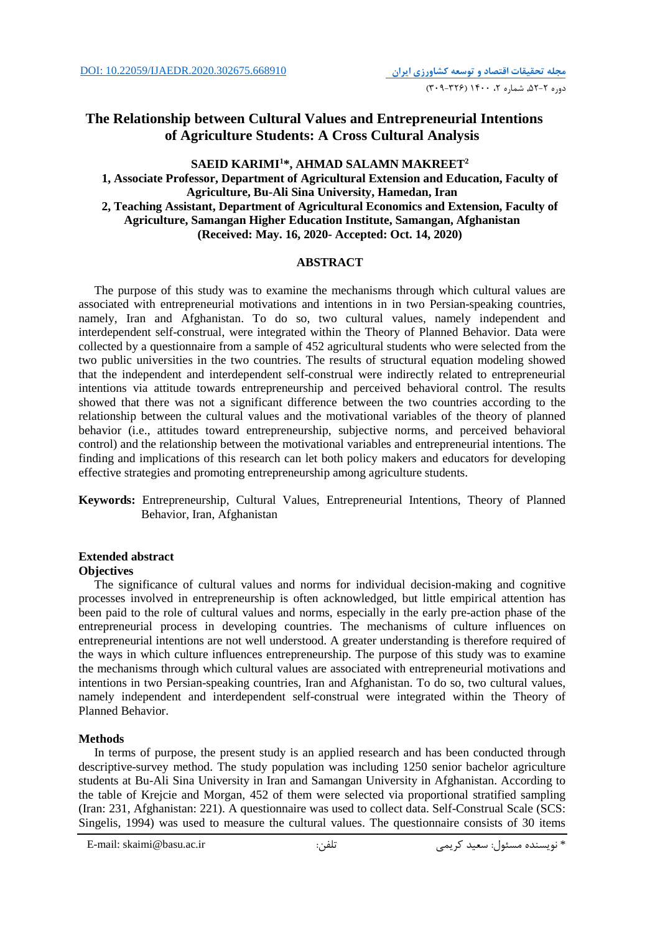## **The Relationship between Cultural Values and Entrepreneurial Intentions of Agriculture Students: A Cross Cultural Analysis**

## **SAEID KARIMI1 \*, AHMAD SALAMN MAKREET2 1, Associate Professor, Department of Agricultural Extension and Education, Faculty of Agriculture, Bu-Ali Sina University, Hamedan, Iran 2, Teaching Assistant, Department of Agricultural Economics and Extension, Faculty of Agriculture, Samangan Higher Education Institute, Samangan, Afghanistan (Received: May. 16, 2020- Accepted: Oct. 14, 2020)**

### **ABSTRACT**

The purpose of this study was to examine the mechanisms through which cultural values are associated with entrepreneurial motivations and intentions in in two Persian-speaking countries, namely, Iran and Afghanistan. To do so, two cultural values, namely independent and interdependent self-construal, were integrated within the Theory of Planned Behavior. Data were collected by a questionnaire from a sample of 452 agricultural students who were selected from the two public universities in the two countries. The results of structural equation modeling showed that the independent and interdependent self-construal were indirectly related to entrepreneurial intentions via attitude towards entrepreneurship and perceived behavioral control. The results showed that there was not a significant difference between the two countries according to the relationship between the cultural values and the motivational variables of the theory of planned behavior (i.e., attitudes toward entrepreneurship, subjective norms, and perceived behavioral control) and the relationship between the motivational variables and entrepreneurial intentions. The finding and implications of this research can let both policy makers and educators for developing effective strategies and promoting entrepreneurship among agriculture students.

**Keywords:** Entrepreneurship, Cultural Values, Entrepreneurial Intentions, Theory of Planned Behavior, Iran, Afghanistan

### **Extended abstract**

#### **Objectives**

The significance of cultural values and norms for individual decision-making and cognitive processes involved in entrepreneurship is often acknowledged, but little empirical attention has been paid to the role of cultural values and norms, especially in the early pre-action phase of the entrepreneurial process in developing countries. The mechanisms of culture influences on entrepreneurial intentions are not well understood. A greater understanding is therefore required of the ways in which culture influences entrepreneurship. The purpose of this study was to examine the mechanisms through which cultural values are associated with entrepreneurial motivations and intentions in two Persian-speaking countries, Iran and Afghanistan. To do so, two cultural values, namely independent and interdependent self-construal were integrated within the Theory of Planned Behavior.

#### **Methods**

In terms of purpose, the present study is an applied research and has been conducted through descriptive-survey method. The study population was including 1250 senior bachelor agriculture students at Bu-Ali Sina University in Iran and Samangan University in Afghanistan. According to the table of Krejcie and Morgan, 452 of them were selected via proportional stratified sampling (Iran: 231, Afghanistan: 221). A questionnaire was used to collect data. Self-Construal Scale (SCS: Singelis, 1994) was used to measure the cultural values. The questionnaire consists of 30 items

.<br>\* نویسنده مسئول: سعید کریمی سعید کریمی تلفن: E-mail: skaimi@basu.ac.ir تلفن کریمی مسئول: سعید کریمی سعید تلفن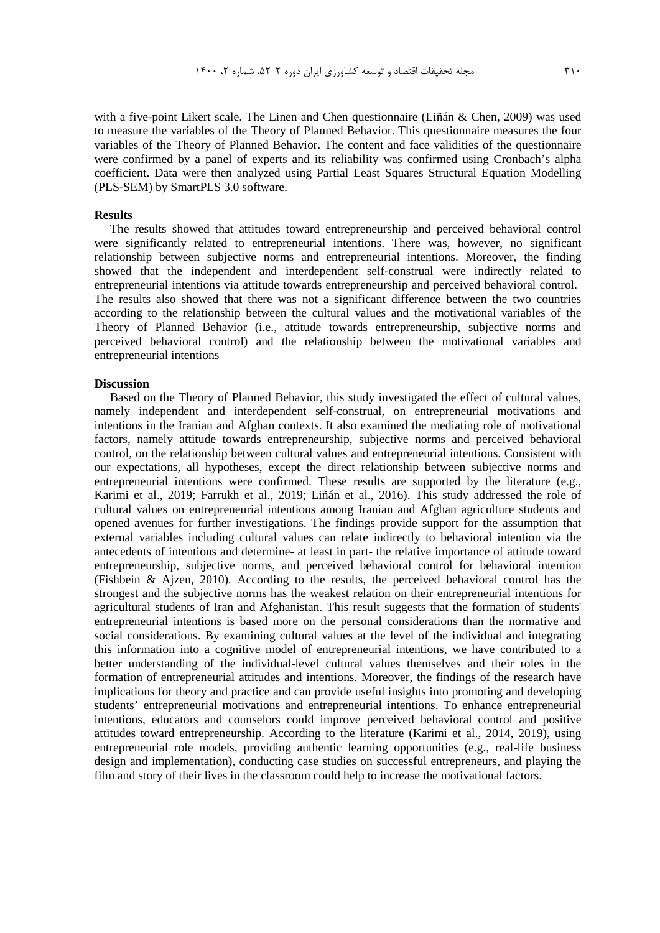with a five-point Likert scale. The Linen and Chen questionnaire (Liñán & Chen, 2009) was used to measure the variables of the Theory of Planned Behavior. This questionnaire measures the four variables of the Theory of Planned Behavior. The content and face validities of the questionnaire were confirmed by a panel of experts and its reliability was confirmed using Cronbach's alpha coefficient. Data were then analyzed using Partial Least Squares Structural Equation Modelling (PLS-SEM) by SmartPLS 3.0 software.

#### **Results**

The results showed that attitudes toward entrepreneurship and perceived behavioral control were significantly related to entrepreneurial intentions. There was, however, no significant relationship between subjective norms and entrepreneurial intentions. Moreover, the finding showed that the independent and interdependent self-construal were indirectly related to entrepreneurial intentions via attitude towards entrepreneurship and perceived behavioral control. The results also showed that there was not a significant difference between the two countries according to the relationship between the cultural values and the motivational variables of the Theory of Planned Behavior (i.e., attitude towards entrepreneurship, subjective norms and perceived behavioral control) and the relationship between the motivational variables and entrepreneurial intentions

#### **Discussion**

Based on the Theory of Planned Behavior, this study investigated the effect of cultural values, namely independent and interdependent self-construal, on entrepreneurial motivations and intentions in the Iranian and Afghan contexts. It also examined the mediating role of motivational factors, namely attitude towards entrepreneurship, subjective norms and perceived behavioral control, on the relationship between cultural values and entrepreneurial intentions. Consistent with our expectations, all hypotheses, except the direct relationship between subjective norms and entrepreneurial intentions were confirmed. These results are supported by the literature (e.g., Karimi et al., 2019; Farrukh et al., 2019; Liñán et al., 2016). This study addressed the role of cultural values on entrepreneurial intentions among Iranian and Afghan agriculture students and opened avenues for further investigations. The findings provide support for the assumption that external variables including cultural values can relate indirectly to behavioral intention via the antecedents of intentions and determine- at least in part- the relative importance of attitude toward entrepreneurship, subjective norms, and perceived behavioral control for behavioral intention (Fishbein & Ajzen, 2010). According to the results, the perceived behavioral control has the strongest and the subjective norms has the weakest relation on their entrepreneurial intentions for agricultural students of Iran and Afghanistan. This result suggests that the formation of students' entrepreneurial intentions is based more on the personal considerations than the normative and social considerations. By examining cultural values at the level of the individual and integrating this information into a cognitive model of entrepreneurial intentions, we have contributed to a better understanding of the individual-level cultural values themselves and their roles in the formation of entrepreneurial attitudes and intentions. Moreover, the findings of the research have implications for theory and practice and can provide useful insights into promoting and developing students' entrepreneurial motivations and entrepreneurial intentions. To enhance entrepreneurial intentions, educators and counselors could improve perceived behavioral control and positive attitudes toward entrepreneurship. According to the literature (Karimi et al., 2014, 2019), using entrepreneurial role models, providing authentic learning opportunities (e.g., real-life business design and implementation), conducting case studies on successful entrepreneurs, and playing the film and story of their lives in the classroom could help to increase the motivational factors.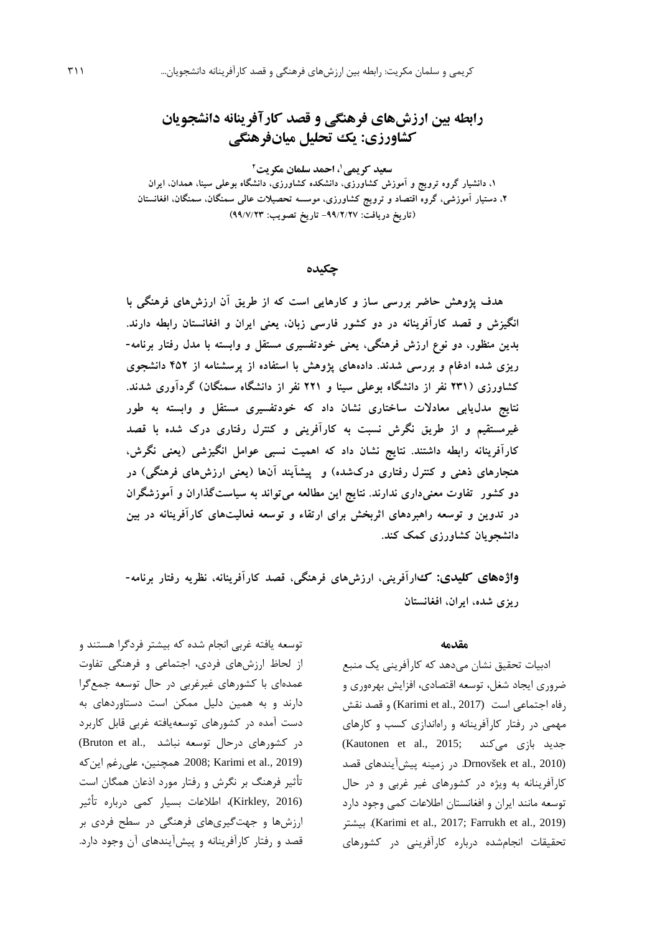# **رابطه بین ارزشهاي فرهنگی و قصد کارآفرینانه دانشجویان کشاورزي: یک تحلیل میانفرهنگی**

**2 سعید کریمی ،1 احمد سلمان مکریت ،1 دانشیار گروه ترویج و آموزش کشاورزي، دانشکده کشاورزي، دانشگاه بوعلی سینا، همدان، ایران ،2 دستیار آموزشی، گروه اقتصاد و ترویج کشاورزي، موسسه تحصیلات عالی سمنگان، سمنگان، افغانستان (تاریخ دریافت: -99/2/27 تاریخ تصویب: 99/7/23)**

**چکیده**

**هدف پژوهش حاضر بررسی ساز و کارهایی است که از طریق آن ارزشهاي فرهنگی با انگیزش و قصد کارآفرینانه در دو کشور فارسی زبان، یعنی ایران و افغانستان رابطه دارند. بدین منظور، دو نوع ارزش فرهنگی، یعنی خودتفسیري مستقل و وابسته با مدل رفتار برنامه- ریزي شده ادغام و بررسی شدند. دادههاي پژوهش با استفاده از پرسشنامه از 452 دانشجوي کشاورزي (231 نفر از دانشگاه بوعلی سینا و 221 نفر از دانشگاه سمنگان) گردآوري شدند. نتایج مدلیابی معادلات ساختاري نشان داد که خودتفسیري مستقل و وابسته به طور غیرمستقیم و از طریق نگرش نسبت به کارآفرینی و کنترل رفتاري درك شده با قصد کارآفرینانه رابطه داشتند. نتایج نشان داد که اهمیت نسبی عوامل انگیزشی (یعنی نگرش، هنجارهاي ذهنی و کنترل رفتاري دركشده) و پیشآیند آنها (یعنی ارزشهاي فرهنگی) در دو کشور تفاوت معنیداري ندارند. نتایج این مطالعه میتواند به سیاستگذاران و آموزشگران در تدوین و توسعه راهبردهاي اثربخش براي ارتقاء و توسعه فعالیتهاي کارآفرینانه در بین دانشجویان کشاورزي کمک کند.** 

**واژههاي کلیدي: كارآفرینی، ارزشهاي فرهنگی، قصد کارآفرینانه، نظریه رفتار برنامه- ریزي شده، ایران، افغانستان**

#### **مقدمه**

ادبیات تحقیق نشان میدهد که کارآفرینی یک منبع ضروري ایجاد شغل، توسعه اقتصادي، افزایش بهرهوري و رفاه اجتماعی است (2017 .Karimi et al) و قصد نقش مهمی در رفتار کارآفرینانه و راهاندازي کسب و کارهاي جدید بازی میکند ;Kautonen et al., 2015 (2010 .,al et Drnovšek. در زمینه پیشآیندهاي قصد کارآفرینانه به ویژه در کشورهاي غیر غربی و در حال توسعه مانند ایران و افغانستان اطلاعات کمی وجود دارد بیشتر .)Karimi et al., 2017; Farrukh et al., 2019) تحقیقات انجامشده درباره کارآفرینی در کشورهاي

توسعه یافته غربی انجام شده که بیشتر فردگرا هستند و از لحاظ ارزشهاي فردي، اجتماعی و فرهنگی تفاوت عمدهاي با کشورهاي غیرغربی در حال توسعه جمعگرا دارند و به همین دلیل ممکن است دستاوردهاي به دست آمده در کشورهاي توسعهیافته غربی قابل کاربرد در کشورهای درحال توسعه نباشد .,Bruton et al (2019 .,201 .2008; Karimi et al واین که تأثیر فرهنگ بر نگرش و رفتار مورد اذعان همگان است (2016 ,Kirkley(، اطلاعات بسیار کمی درباره تأثیر ارزشها و جهتگیريهاي فرهنگی در سطح فردي بر قصد و رفتار کارآفرینانه و پیشآیندهاي آن وجود دارد.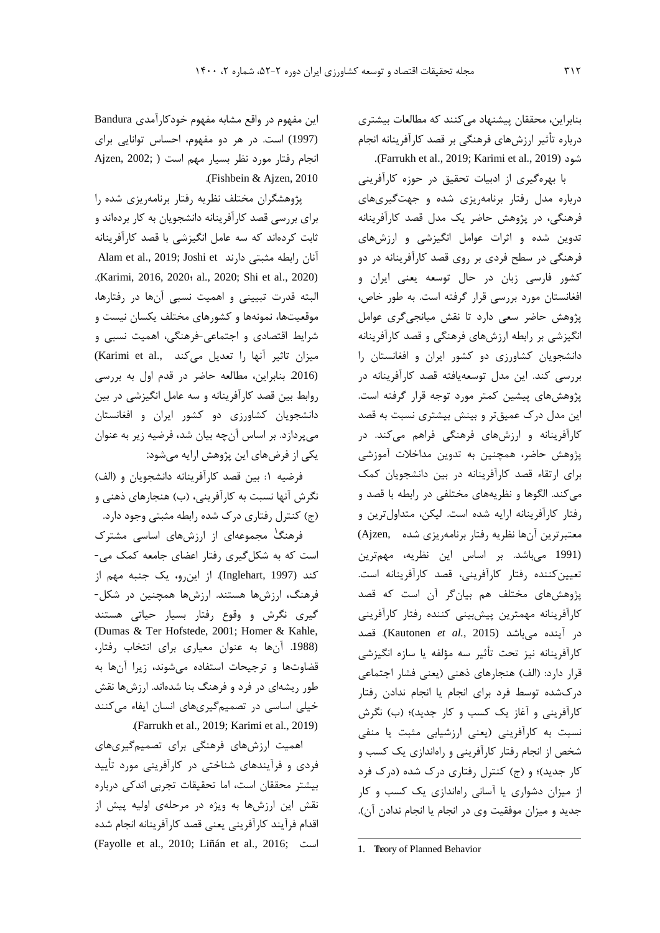بنابراین، محققان پیشنهاد میکنند که مطالعات بیشتري درباره تأثیر ارزشهاي فرهنگی بر قصد کارآفرینانه انجام .(Farrukh et al., 2019; Karimi et al., 2019) شود

با بهرهگیري از ادبیات تحقیق در حوزه کارآفرینی درباره مدل رفتار برنامهریزي شده و جهتگیريهاي فرهنگی، در پژوهش حاضر یک مدل قصد کارآفرینانه تدوین شده و اثرات عوامل انگیزشی و ارزشهاي فرهنگی در سطح فردي بر روي قصد کارآفرینانه در دو کشور فارسی زبان در حال توسعه یعنی ایران و افغانستان مورد بررسی قرار گرفته است. به طور خاص، پژوهش حاضر سعی دارد تا نقش میانجیگري عوامل انگیزشی بر رابطه ارزشهاي فرهنگی و قصد کارآفرینانه دانشجویان کشاورزي دو کشور ایران و افغانستان را بررسی کند. این مدل توسعهیافته قصد کارآفرینانه در پژوهشهاي پیشین کمتر مورد توجه قرار گرفته است. این مدل درك عمیقتر و بینش بیشتري نسبت به قصد کارآفرینانه و ارزشهاي فرهنگی فراهم میکند. در پژوهش حاضر، همچنین به تدوین مداخلات آموزشی براي ارتقاء قصد کارآفرینانه در بین دانشجویان کمک میکند. الگوها و نظریههاي مختلفی در رابطه با قصد و رفتار کارآفرینانه ارایه شده است. لیکن، متداولترین و ,Ajzen ([١](#page-3-0) معتبرترین آنها نظریه رفتار برنامهریزي شده (1991 میباشد. بر اساس این نظریه، مهمترین تعیینکننده رفتار کارآفرینی، قصد کارآفرینانه است. پژوهشهاي مختلف هم بیانگر آن است که قصد کارآفرینانه مهمترین پیشبینی کننده رفتار کارآفرینی در آینده میباشد (2015 *.*,*al et* Kautonen(. قصد کارآفرینانه نیز تحت تأثیر سه مؤلفه یا سازه انگیزشی قرار دارد: (الف) هنجارهاي ذهنی (یعنی فشار اجتماعی دركشده توسط فرد براي انجام یا انجام ندادن رفتار کارآفرینی و آغاز یک کسب و کار جدید)؛ (ب) نگرش نسبت به کارآفرینی (یعنی ارزشیابی مثبت یا منفی شخص از انجام رفتار کارآفرینی و راهاندازي یک کسب و کار جدید)؛ و (ج) کنترل رفتاري درك شده (درك فرد از میزان دشواري یا آسانی راهاندازي یک کسب و کار جدید و میزان موفقیت وي در انجام یا انجام ندادن آن).

این مفهوم در واقع مشابه مفهوم خودکارآمدي Bandura (1997) است. در هر دو مفهوم، احساس توانایی براي انجام رفتار مورد نظر بسیار مهم است ( ;2002 ,Ajzen .(Fishbein & Ajzen, 2010

پژوهشگران مختلف نظریه رفتار برنامهریزي شده را براي بررسی قصد کارآفرینانه دانشجویان به کار بردهاند و ثابت کردهاند که سه عامل انگیزشی با قصد کارآفرینانه Alam et al., 2019; Joshi et دارند مثبتی رابطه آنان .(Karimi, 2016, 2020؛ al., 2020; Shi et al., 2020) البته قدرت تبیینی و اهمیت نسبی آنها در رفتارها، موقعیتها، نمونهها و کشورهاي مختلف یکسان نیست و شرایط اقتصادي و اجتماعی-فرهنگی، اهمیت نسبی و میزان تاثیر آنها را تعدیل میکند .,al et Karimi( (.2016 بنابراین، مطالعه حاضر در قدم اول به بررسی روابط بین قصد کارآفرینانه و سه عامل انگیزشی در بین دانشجویان کشاورزي دو کشور ایران و افغانستان میپردازد. بر اساس آنچه بیان شد، فرضیه زیر به عنوان یکی از فرضهاي این پژوهش ارایه میشود:

فرضیه :1 بین قصد کارآفرینانه دانشجویان و (الف) نگرش آنها نسبت به کارآفرینی، (ب) هنجارهاي ذهنی و (ج) کنترل رفتاري درك شده رابطه مثبتی وجود دارد.

فرهنگ مجموعهاي از ارزشهاي اساسی مشترك است که به شکلگیري رفتار اعضاي جامعه کمک می- کند (1997 ,Inglehart(. از اینرو، یک جنبه مهم از فرهنگ، ارزشها هستند. ارزشها همچنین در شکل- گیري نگرش و وقوع رفتار بسیار حیاتی هستند (Dumas & Ter Hofstede, 2001; Homer & Kahle, (.1988 آنها به عنوان معیاري براي انتخاب رفتار، قضاوتها و ترجیحات استفاده میشوند، زیرا آنها به طور ریشهاي در فرد و فرهنگ بنا شدهاند. ارزشها نقش خیلی اساسی در تصمیمگیريهاي انسان ایفاء میکنند .(Farrukh et al., 2019; Karimi et al., 2019)

<span id="page-3-0"></span>اهمیت ارزشهاي فرهنگی براي تصمیمگیريهاي فردي و فرآیندهاي شناختی در کارآفرینی مورد تأیید بیشتر محققان است، اما تحقیقات تجربی اندکی درباره نقش این ارزشها به ویژه در مرحلهي اولیه پیش از اقدام فرآیند کارآفرینی یعنی قصد کارآفرینانه انجام شده (Fayolle et al., 2010; Liñán et al., 2016; است

 $\overline{a}$ 

<sup>1.</sup> Theory of Planned Behavior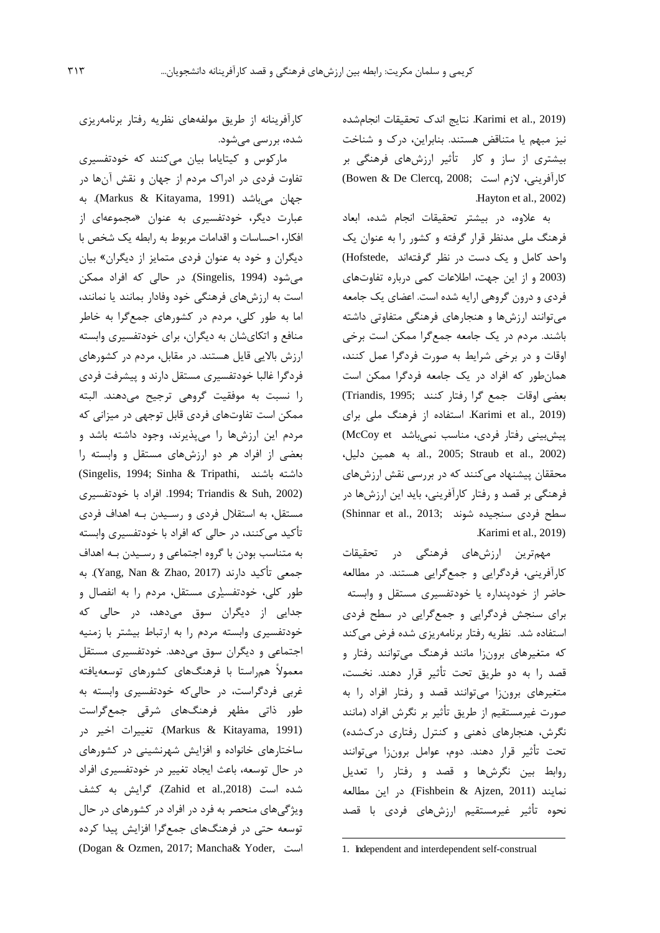(2019 .Karimi et al., نتایج اندک تحقیقات انجامشده نیز مبهم یا متناقض هستند. بنابراین، درك و شناخت بیشتري از ساز و کار تأثیر ارزشهاي فرهنگی بر کارآفرینی، لازم است ;2008 ,Clercq De & Bowen( .Hayton et al., 2002)

به علاوه، در بیشتر تحقیقات انجام شده، ابعاد فرهنگ ملی مدنظر قرار گرفته و کشور را به عنوان یک واحد کامل و یک دست در نظر گرفتهاند ,Hofstede( (2003 و از این جهت، اطلاعات کمی درباره تفاوتهاي فردي و درون گروهی ارایه شده است. اعضاي یک جامعه میتوانند ارزشها و هنجارهاي فرهنگی متفاوتی داشته باشند. مردم در یک جامعه جمعگرا ممکن است برخی اوقات و در برخی شرایط به صورت فردگرا عمل کنند، همانطور که افراد در یک جامعه فردگرا ممکن است بعضی اوقات جمع گرا رفتار کنند ;Triandis, 1995) (2019 .,al et Karimi. استفاده از فرهنگ ملی براي پیشبینی رفتار فردی، مناسب نمیباشد McCoy et) ،دلیل همین به .al., 2005; Straub et al., 2002) محققان پیشنهاد میکنند که در بررسی نقش ارزشهاي فرهنگی بر قصد و رفتار کارآفرینی، باید این ارزشها در سطح فردی سنجیده شوند ;3013 .Shinnar et al .Karimi et al., 2019)

مهمترین ارزشهاي فرهنگی در تحقیقات کارآفرینی، فردگرایی و جمعگرایی هستند. در مطالعه حاضر از خودپنداره یا خودتفسیري مستقل و وابسته براي سنجش فردگرایی و جمعگرایی در سطح فردي استفاده شد. نظریه رفتار برنامهریزي شده فرض میکند که متغیرهاي برونزا مانند فرهنگ میتوانند رفتار و قصد را به دو طریق تحت تأثیر قرار دهند. نخست، متغیرهاي برونزا میتوانند قصد و رفتار افراد را به صورت غیرمستقیم از طریق تأثیر بر نگرش افراد (مانند نگرش، هنجارهاي ذهنی و کنترل رفتاري دركشده) تحت تأثیر قرار دهند. دوم، عوامل برونزا میتوانند روابط بین نگرشها و قصد و رفتار را تعدیل نمایند (2011 ,Ajzen & Fishbein(. در این مطالعه نحوه تأثیر غیرمستقیم ارزشهاي فردي با قصد

١طور کلی، خودتفس[یر](#page-4-0)ي مستقل، مردم را به انفصال و مارکوس و کیتایاما بیان میکنند که خودتفسیري تفاوت فردي در ادراك مردم از جهان و نقش آنها در جهان میباشد (Markus & Kitayama, 1991). به عبارت دیگر، خودتفسیري به عنوان «مجموعهاي از افکار، احساسات و اقدامات مربوط به رابطه یک شخص با دیگران و خود به عنوان فردي متمایز از دیگران» بیان میشود (1994 ,Singelis(. در حالی که افراد ممکن است به ارزشهاي فرهنگی خود وفادار بمانند یا نمانند، اما به طور کلی، مردم در کشورهاي جمعگرا به خاطر منافع و اتکايشان به دیگران، براي خودتفسیري وابسته ارزش بالایی قایل هستند. در مقابل، مردم در کشورهاي فردگرا غالبا خودتفسیري مستقل دارند و پیشرفت فردي را نسبت به موفقیت گروهی ترجیح میدهند. البته ممکن است تفاوتهاي فردي قابل توجهی در میزانی که مردم این ارزشها را میپذیرند، وجود داشته باشد و بعضی از افراد هر دو ارزشهاي مستقل و وابسته را (Singelis, 1994; Sinha & Tripathi, باشند داشته (2002 ,Suh & Triandis; .1994 افراد با خودتفسیري مستقل، به استقلال فردي و رسـیدن بـه اهداف فردي تأکید میکنند، در حالی که افراد با خودتفسیري وابسته به متناسب بودن با گروه اجتماعی و رسـیدن بـه اهداف جمعی تأکید دارند (2017 ,Yang, Nan & Zhao). به جدایی از دیگران سوق میدهد، در حالی که خودتفسیري وابسته مردم را به ارتباط بیشتر با زمنیه اجتماعی و دیگران سوق میدهد. خودتفسیري مستقل معمولاً همراستا با فرهنگهاي کشورهاي توسعهیافته غربی فردگراست، در حالیکه خودتفسیري وابسته به طور ذاتی مظهر فرهنگهاي شرقی جمعگراست (1991 ,Markus & Kitayama). تغییرات اخیر در ساختارهاي خانواده و افزایش شهرنشینی در کشورهاي در حال توسعه، باعث ایجاد تغییر در خودتفسیري افراد شده است (.,2018al et Zahid(. گرایش به کشف ویژگیهاي منحصر به فرد در افراد در کشورهاي در حال توسعه حتی در فرهنگهاي جمعگرا افزایش پیدا کرده (Dogan & Ozmen, 2017; Mancha& Yoder, است

-

کارآفرینانه از طریق مولفههاي نظریه رفتار برنامهریزي شده، بررسی میشود.

<span id="page-4-0"></span><sup>1.</sup> Independent and interdependent self-construal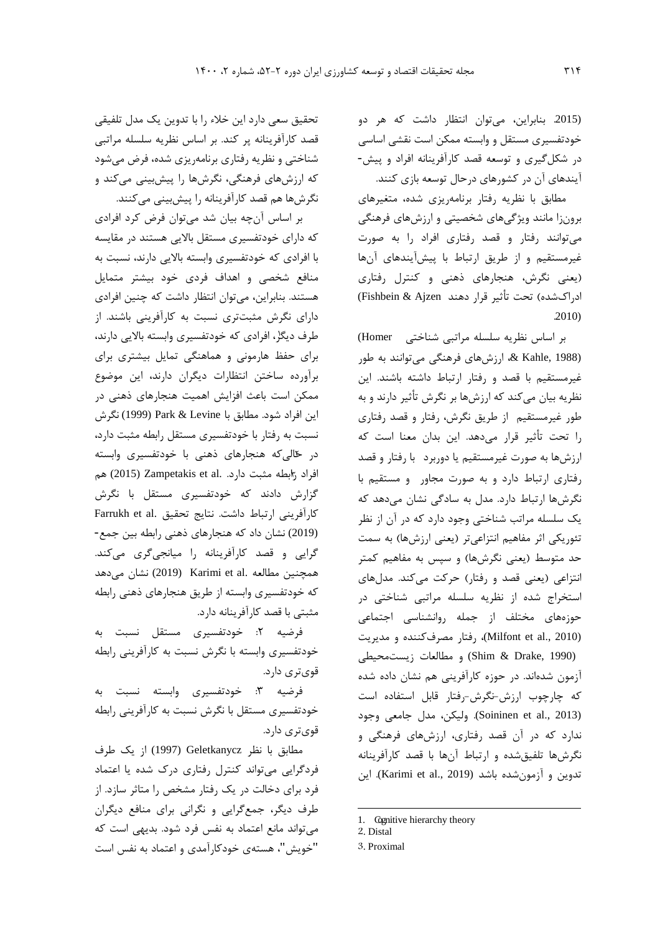(.2015 بنابراین، میتوان انتظار داشت که هر دو خودتفسیري مستقل و وابسته ممکن است نقشی اساسی در شکلگیري و توسعه قصد کارآفرینانه افراد و پیش- آیندهاي آن در کشورهاي درحال توسعه بازي کنند.

مطابق با نظریه رفتار برنامهریزي شده، متغیرهاي برونزا مانند ویژگیهاي شخصیتی و ارزشهاي فرهنگی میتوانند رفتار و قصد رفتاري افراد را به صورت غیرمستقیم و از طریق ارتباط با پیشآیندهاي آنها (یعنی نگرش، هنجارهاي ذهنی و کنترل رفتاري ادراكشده) تحت تأثیر قرار دهند Ajzen & Fishbein( .2010)

Homer (<sup>١</sup> بر اساس نظریه سلسله مراتبی شناختی (1988 ,Kahle& ، ارزشهاي فرهنگی میتوانند به طور غیرمستقیم با قصد و رفتار ارتباط داشته باشند. این نظریه بیان میکند که ارزشها بر نگرش تأثیر دارند و به طور غیرمستقیم از طریق نگرش، رفتار و قصد رفتاري را تحت تأثیر قرار میدهد. این بدان معنا است که ارزشها به صورت غیرمستقیم یا دوربرد با رفتار و قصد رفتاري ارتباط دارد و به صورت مجاور و مستقيم با نگرشها ارتباط دارد. مدل به سادگی نشان میدهد که یک سلسله مراتب شناختی وجود دارد که در آن از نظر تئوریکی اثر مفاهیم انتزاعیتر (یعنی ارزشها) به سمت حد متوسط (یعنی نگرشها) و سپس به مفاهیم کمتر انتزاعی (یعنی قصد و رفتار) حرکت میکند. مدلهاي استخراج شده از نظریه سلسله مراتبی شناختی در حوزههاي مختلف از جمله روانشناسی اجتماعی (2010 .Milfont et al)، رفتار مصرفکننده و مدیریت (1990 Shim & Drake, 1990) و مطالعات زیستمحیطی آزمون شدهاند. در حوزه کارآفرینی هم نشان داده شده که چارچوب ارزش-نگرش-رفتار قابل استفاده است (2013 .Soininen et al). ولیکن، مدل جامعی وجود ندارد که در آن قصد رفتاري، ارزشهاي فرهنگی و نگرشها تلفیقشده و ارتباط آنها با قصد کارآفرینانه تدوین و آزمونشده باشد (Karimi et al., 2019). این

1. Cognitive hierarchy theory

 $\overline{a}$ 

تحقیق سعی دارد این خلاء را با تدوین یک مدل تلفیقی قصد کارآفرینانه پر کند. بر اساس نظریه سلسله مراتبی شناختی و نظریه رفتاري برنامهریزي شده، فرض میشود که ارزشهاي فرهنگی، نگرشها را پیشبینی میکند و نگرشها هم قصد کارآفرینانه را پیشبینی میکنند.

بر اساس آنچه بیان شد میتوان فرض کرد افرادي که داراي خودتفسیري مستقل بالایی هستند در مقایسه با افرادي که خودتفسیري وابسته بالایی دارند، نسبت به منافع شخصی و اهداف فردي خود بیشتر متمایل هستند. بنابراین، میتوان انتظار داشت که چنین افرادي داراي نگرش مثبتتري نسبت به کارآفرینی باشند. از طرف دی[گر](#page-5-0)، افرادي که خودتفسیري وابسته بالایی دارند، براي حفظ هارمونی و هماهنگی تمایل بیشتري براي برآورده ساختن انتظارات دیگران دارند، این موضوع ممکن است باعث افزایش اهمیت هنجارهاي ذهنی در این افراد شود. مطابق با Levine & Park) 1999 (نگرش نسبت به رفتار با خودتفسیري مستقل رابطه مثبت دارد، در [حا](#page-5-1)لیکه هنجارهاي ذهنی با خودتفسیري وابسته افراد [را](#page-5-2)بطه مثبت دارد. .al et Zampetakis) 2015 (هم گزارش دادند که خودتفسیري مستقل با نگرش کارآفرینی ارتباط داشت. نتایج تحقیق .Farrukh et al (2019) نشان داد که هنجارهاي ذهنی رابطه بین جمع- گرایی و قصد کارآفرینانه را میانجیگري میکند. همچنین مطالعه .al et Karimi) 2019 (نشان میدهد که خودتفسیري وابسته از طریق هنجارهاي ذهنی رابطه مثبتی با قصد کارآفرینانه دارد.

فرضیه :2 خودتفسیري مستقل نسبت به خودتفسیري وابسته با نگرش نسبت به کارآفرینی رابطه قويتري دارد.

فرضیه :3 خودتفسیري وابسته نسبت به خودتفسیري مستقل با نگرش نسبت به کارآفرینی رابطه قويتري دارد.

<span id="page-5-2"></span><span id="page-5-1"></span><span id="page-5-0"></span>مطابق با نظر Geletkanycz) 1997 (از یک طرف فردگرایی میتواند کنترل رفتاري درك شده یا اعتماد فرد براي دخالت در یک رفتار مشخص را متاثر سازد. از طرف دیگر، جمعگرایی و نگرانی براي منافع دیگران میتواند مانع اعتماد به نفس فرد شود. بدیهی است که "خویش"، هستهي خودکارآمدي و اعتماد به نفس است

<sup>2</sup>. Distal

<sup>3</sup>. Proximal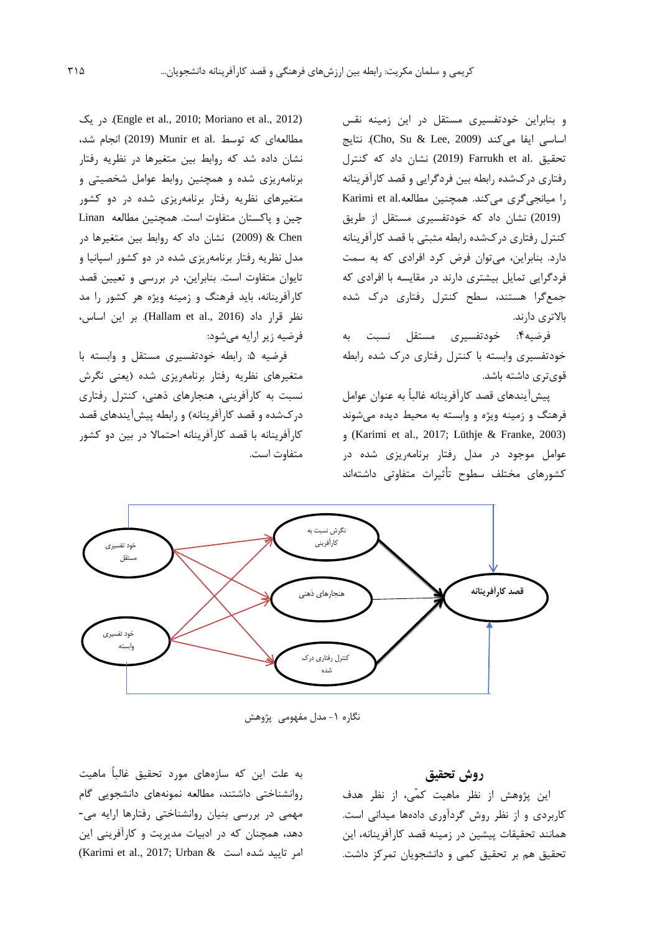و بنابراین خودتفسیري مستقل در این زمینه نقس اساسی ایفا میکند (Cho, Su & Lee, 2009). نتایج تحقیق .al et Farrukh) 2019 (نشان داد که کنترل رفتاري دركشده رابطه بین فردگرایی و قصد کارآفرینانه را میانجیگری میکند. همچنین مطالعه.Karimi et al (2019) نشان داد که خودتفسیري مستقل از طریق کنترل رفتاري دركشده رابطه مثبتی با قصد کارآفرینانه دارد. بنابراین، میتوان فرض کرد افرادي که به سمت فردگرایی تمایل بیشتري دارند در مقایسه با افرادي که جمعگرا هستند، سطح کنترل رفتاري درك شده بالاتري دارند.

فرضیه:4 خودتفسیري مستقل نسبت به خودتفسیري وابسته با کنترل رفتاري درك شده رابطه قويتري داشته باشد.

پیشآیندهاي قصد کارآفرینانه غالباً به عنوان عوامل فرهنگ و زمینه ویژه و وابسته به محیط دیده میشوند و) Karimi et al., 2017; Lüthje & Franke, 2003) عوامل موجود در مدل رفتار برنامهریزي شده در کشورهاي مختلف سطوح تأثیرات متفاوتی داشتهاند

 یک در .)Engle et al., 2010; Moriano et al., 2012) مطالعهاي كه توسط .Munir et al (2019) انجام شد، نشان داده شد که روابط بین متغیرها در نظریه رفتار برنامهریزي شده و همچنین روابط عوامل شخصیتی و متغیرهاي نظریه رفتار برنامهریزي شده در دو کشور چین و پاکستان متفاوت است. همچنین مطالعه Linan Chen) & 2009 (نشان داد که روابط بین متغیرها در مدل نظریه رفتار برنامهریزي شده در دو کشور اسپانیا و تایوان متفاوت است. بنابراین، در بررسی و تعیین قصد کارآفرینانه، باید فرهنگ و زمینه ویژه هر کشور را مد نظر قرار داد (2016 .Hallam et al). بر این اساس، فرضیه زیر ارایه میشود:

فرضیه :5 رابطه خودتفسیري مستقل و وابسته با متغیرهاي نظریه رفتار برنامهریزي شده (یعنی نگرش نسبت به کارآفرینی، هنجارهاي ذهنی، کنترل رفتاري دركشده و قصد کارآفرینانه) و رابطه پیشآیندهاي قصد کارآفرینانه با قصد کارآفرینانه احتمالا در بین دو کشور متفاوت است.



نگاره ۱- مدل مفهومی پژوهش

به علت این که سازههاي مورد تحقیق غالباً ماهیت روانشناختی داشتند، مطالعه نمونههاي دانشجویی گام مهمی در بررسی بنیان روانشناختی رفتارها ارایه می- دهد، همچنان که در ادبیات مدیریت و کارآفرینی این  $(Karimi$ et al., 2017; Urban & امر تایید شده است

## **روش تحقیق**

این پژوهش از نظر ماهیت کمّی، از نظر هدف کاربردي و از نظر روش گردآوري دادهها میدانی است. همانند تحقیقات پیشین در زمینه قصد کارآفرینانه، این تحقیق هم بر تحقیق کمی و دانشجویان تمرکز داشت.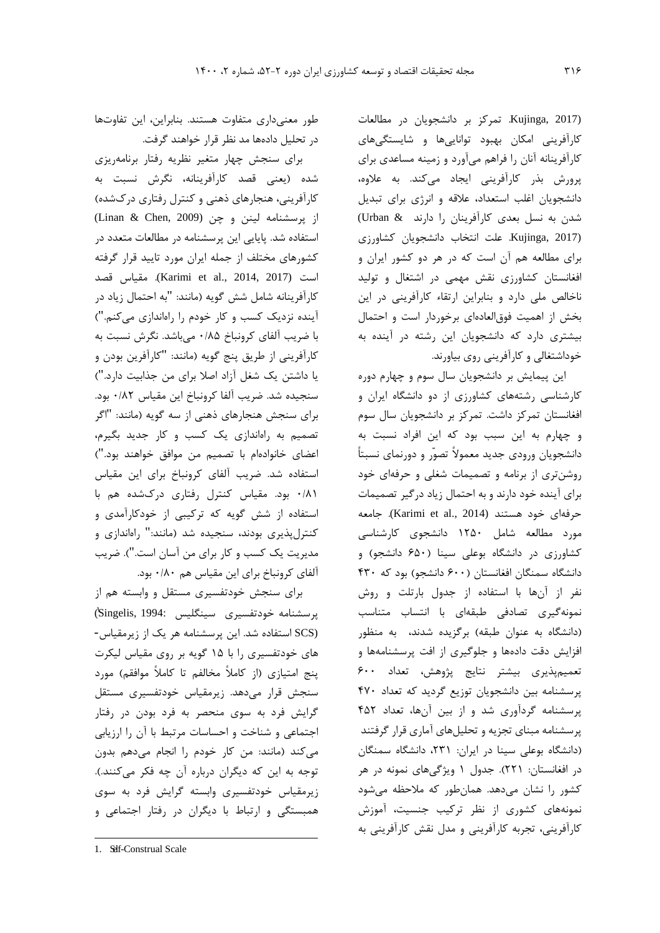(2017 ,Kujinga. تمرکز بر دانشجویان در مطالعات کارآفرینی امکان بهبود تواناییها و شایستگیهاي کارآفرینانه آنان را فراهم میآورد و زمینه مساعدي براي پرورش بذر کارآفرینی ایجاد میکند. به علاوه، دانشجویان اغلب استعداد، علاقه و انرژي براي تبدیل شدن به نسل بعدي کارآفرینان را دارند & Urban( (2017 ,Kujinga. علت انتخاب دانشجویان کشاورزي براي مطالعه هم آن است که در هر دو کشور ایران و افغانستان کشاورزي نقش مهمی در اشتغال و تولید ناخالص ملی دارد و بنابراین ارتقاء کارآفرینی در این بخش از اهمیت فوقالعادهاي برخوردار است و احتمال بیشتري دارد که دانشجویان این رشته در آینده به خوداشتغالی و کارآفرینی روي بیاورند.

این پیمایش بر دانشجویان سال سوم و چهارم دوره کارشناسی رشتههاي کشاورزي از دو دانشگاه ایران و افغانستان تمرکز داشت. تمرکز بر دانشجویان سال سوم و چهارم به این سبب بود که این افراد نسبت به دانشجویان ورودي جدید معمولاً تصوّر و دورنماي نسبتاً روشنتري از برنامه و تصمیمات شغلی و حرفهاي خود براي آینده خود دارند و به احتمال زیاد درگیر تصمیمات حرفهاي خود هستند (Karimi et al., 2014). جامعه مورد مطالعه شامل 1250 دانشجوي کارشناسی کشاورزي در دانشگاه بوعلی سینا (650 دانشجو) و دانشگاه سمنگان افغانستان (600 دانشجو) بود که 430 نفر از آنها با استفاده از جدول بارتلت و روش نمونهگیري تصادفی طبقهاي با انتساب متناسب (دانشگاه به عنوان طبقه) برگزیده شدند، به منظور افزایش دقت دادهها و جلوگیري از افت پرسشنامهها و تعمیمپذیري بیشتر نتایج پژوهش، تعداد 600 پرسشنامه بین دانشجویان توزیع گردید که تعداد 470 پرسشنامه گردآوري شد و از بین آنها، تعداد 452 پرسشنامه مبناي تجزیه و تحلیلهاي آماري قرار گرفتند (دانشگاه بوعلی سینا در ایران: ،231 دانشگاه سمنگان در افغانستان: 221). جدول 1 ویژگیهاي نمونه در هر کشور را نشان میدهد. همانطور که ملاحظه میشود نمونههاي کشوري از نظر ترکیب جنسیت، آموزش کارآفرینی، تجربه کارآفرینی و مدل نقش کارآفرینی به

طور معنیداري متفاوت هستند. بنابراین، این تفاوتها در تحلیل دادهها مد نظر قرار خواهند گرفت.

براي سنجش چهار متغیر نظریه رفتار برنامهریزي شده (یعنی قصد کارآفرینانه، نگرش نسبت به کارآفرینی، هنجارهاي ذهنی و کنترل رفتاري دركشده) از پرسشنامه لینن و چن (Linan & Chen, 2009) استفاده شد. پایایی این پرسشنامه در مطالعات متعدد در کشورهاي مختلف از جمله ایران مورد تایید قرار گرفته است (2017 Karimi et al., 2014, 2017). مقياس قصد کارآفرینانه شامل شش گویه (مانند: "به احتمال زیاد در آینده نزدیک کسب و کار خودم را راهاندازي میکنم.") با ضریب آلفاي کرونباخ 0/85 میباشد. نگرش نسبت به کارآفرینی از طریق پنج گویه (مانند: "کارآفرین بودن و یا داشتن یک شغل آزاد اصلا براي من جذابیت دارد.") سنجیده شد. ضریب آلفا کرونباخ این مقیاس 0/82 بود. براي سنجش هنجارهاي ذهنی از سه گویه (مانند: "اگر تصمیم به راهاندازي یک کسب و کار جدید بگیرم، اعضاي خانوادهام با تصمیم من موافق خواهند بود.") استفاده شد. ضریب آلفاي کرونباخ براي این مقیاس 0/81 بود. مقیاس کنترل رفتاري دركشده هم با استفاده از شش گویه که ترکیبی از خودکارآمدي و کنترلپذیري بودند، سنجیده شد (مانند:" راهاندازي و مدیریت یک کسب و کار براي من آسان است."). ضریب آلفاي کرونباخ براي این مقیاس هم 0/80 بود.

براي سنجش خودتفسیري مستقل و وابسته هم از ١ پرسشنامه خودتفسیري سینگلیس 1994: ,[S](#page-7-0)ingelis[\(](#page-7-0) (SCS استفاده شد. این پرسشنامه هر یک از زیرمقیاس- هاي خودتفسیري را با 15 گویه بر روي مقیاس لیکرت پنج امتیازي (از کاملاً مخالفم تا کاملاً موافقم) مورد سنجش قرار میدهد. زیرمقیاس خودتفسیري مستقل گرایش فرد به سوي منحصر به فرد بودن در رفتار اجتماعی و شناخت و احساسات مرتبط با آن را ارزیابی میکند (مانند: من کار خودم را انجام میدهم بدون توجه به این که دیگران درباره آن چه فکر میکنند.). زیرمقیاس خودتفسیري وابسته گرایش فرد به سوي همبستگی و ارتباط با دیگران در رفتار اجتماعی و

 $\overline{a}$ 

<span id="page-7-0"></span><sup>1.</sup> Self-Construal Scale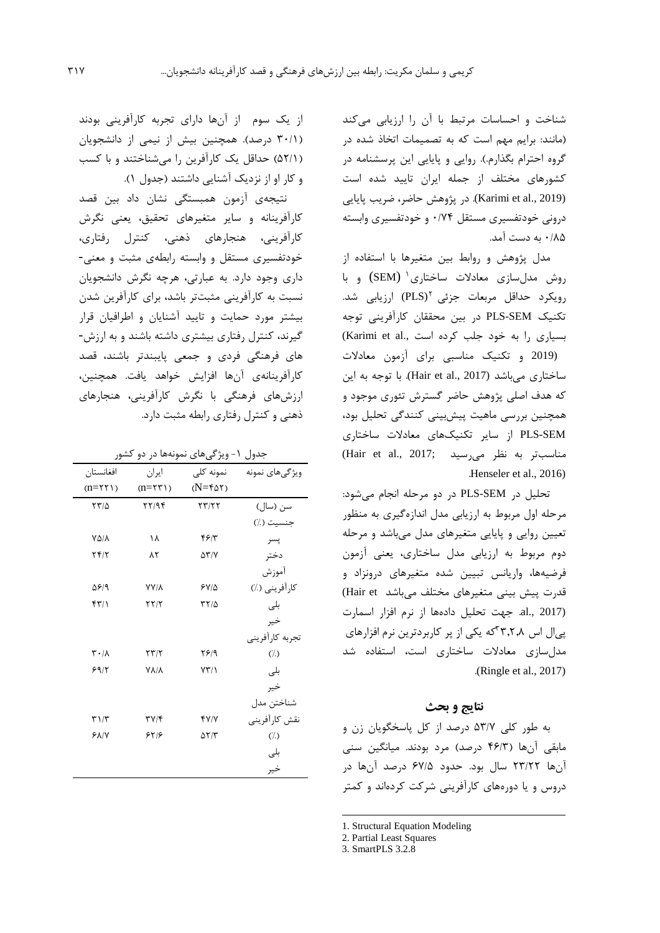شناخت و احساسات مرتبط با آن را ارزیابی میکند (مانند: برایم مهم است که به تصمیمات اتخاذ شده در گروه احترام بگذارم.). روایی و پایایی این پرسشنامه در کشورهاي مختلف از جمله ایران تایید شده است (Karimi et al., 2019). در پژوهش حاضر، ضریب پایایی درونی خودتفسیري مستقل 0/74 و خودتفسیري وابسته 0/85 به دست آمد.

مدل پژوهش و روابط بین متغیرها با استفاده از روش مدلسازي معادلات ساختاري<sup>۱</sup> (SEM) و با رویکرد حداقل مربعات جزئی PLS) ارزیابی شد. تکنیک SEM-PLS در بین محققان کارآفرینی توجه بسیاری را به خود جلب کرده است .(Karimi et al (2019 و تکنیک مناسبی براي آزمون معادلات ساختاري مي باشد (2017 .Hair et al). با توجه به این که هدف اصلی پژوهش حاضر گسترش تئوري موجود و همچنین بررسی ماهیت پیشبینی کنندگی تحلیل بود،

SEM-PLS از سایر تکنیکهاي معادلات ساختاري  $(Hair et al., 2017;$  مناسبتر به نظر می سید .Henseler et al., 2016)

تحلیل در SEM-PLS در دو مرحله انجام میشود: مرحله اول مربوط به ارزیابی مدل اندازهگیري به منظور تعیین روایی و پایایی متغیرهاي مدل میباشد و مرحله دوم مربوط به ارزیابی مدل ساختاري، یعنی آزمون فرضیهها، واریانس تبیین شده متغیرهاي درونزاد و قدرت پیش بینی متغیرهای مختلف می باشد Hair et) (2017 .,al. جهت تحلیل دادهها از نرم افزار اسمارت پیال اس ۳۳٫۲٫۸گه یکی از پر کاربردترین نرم افزارهای مدلسازي معادلات ساختاري است، استفاده شد .(Ringle et al., 2017)

## **نتایج و بحث**

به طور کلی 53/7 درصد از کل پاسخگویان زن و مابقی آنها (46/3 درصد) مرد بودند. میانگین سنی آنها 23/22 سال بود. حدود 67/5 درصد آنها در دروس و یا دورههاي کارآفرینی شرکت کردهاند و کمتر

-

از یک سوم از آنها داراي تجربه کارآفرینی بودند (30/1 درصد). همچنین بیش از نیمی از دانشجویان (52/1) حداقل یک کارآفرین را میشناختند و با کسب و کار او از نزدیک آشنایی داشتند (جدول 1).

نتیجهي آزمون همبستگی نشان داد بین قصد کارآفرینانه و سایر متغیرهاي تحقیق، یعنی نگرش کارآفرینی، هنجارهاي ذهنی، کنترل رفتاري، خودتفسیري مستقل و وابسته رابطهي مثبت و معنی- داري وجود دارد. به عبارتی، هرچه نگرش دانشجویان نسبت به کارآفرینی مثبتتر باشد، براي کارآفرین شدن بیشتر مورد حمایت و تایید آشنایان و اطرافیان قرار گیرند، کنترل رفتاري بیشتري داشته باشند و به ارزش- هاي فرهنگی فردي و جمعی پایبندتر باشند، قصد کارآفرینانهي آنها افزایش خواهد یافت. همچنین، ارزشهاي فرهنگی با نگرش کارآفرینی، هنجارهاي ذهنی و کنترل رفتاري رابطه مثبت دارد.

جدول ۱- ویژگیهای نمونهها در دو کشور

| افغانستان                         | ايران                 | نمونه کلی           | ویژگیهای نمونه  |
|-----------------------------------|-----------------------|---------------------|-----------------|
| $(n=55)$                          | $(n=55)$              | $(N = f \Delta Y)$  |                 |
| $\tau\tau/\Delta$                 | $\frac{5}{7}$         | $\tau\tau/\tau\tau$ | سن (سال)        |
|                                   |                       |                     | جنسيت (٪)       |
| VA/A                              | ۱۸                    | ۴۶۱۳                | يسر             |
| ۲۴/۲                              | ۸٢                    | $\Delta \Upsilon/V$ | دختر            |
|                                   |                       |                     | أموزش           |
| ۵۶/۹                              | <b>YY/A</b>           | ۶۷/۵                | كارآفريني (٪)   |
| ۴۳/۱                              | $\tau\tau/\tau$       | $\tau\tau/\Delta$   | بلى             |
|                                   |                       |                     | خير             |
|                                   |                       |                     | تجربه كارأفريني |
| $\mathbf{r} \cdot / \mathbf{v}$   | $\tau\tau/\tau$       | ۲۶۱۹                | (1)             |
| 59/7                              | $V\Lambda/\Lambda$    | $YY/\lambda$        | بلى             |
|                                   |                       |                     | خير             |
|                                   |                       |                     | شناختن مدل      |
| $\mathbf{r} \setminus \mathbf{r}$ | $\Upsilon V/\Upsilon$ | YY/Y                | نقش كارآفريني   |
| <b>88/7</b>                       | 8519                  | $\Delta Y/Y$        | $(\lambda)$     |
|                                   |                       |                     | بلى             |
|                                   |                       |                     | خير             |
|                                   |                       |                     |                 |

<sup>1.</sup> Structural Equation Modeling

<sup>2.</sup> Partial Least Squares

<span id="page-8-0"></span><sup>3.</sup> SmartPLS 3.2.8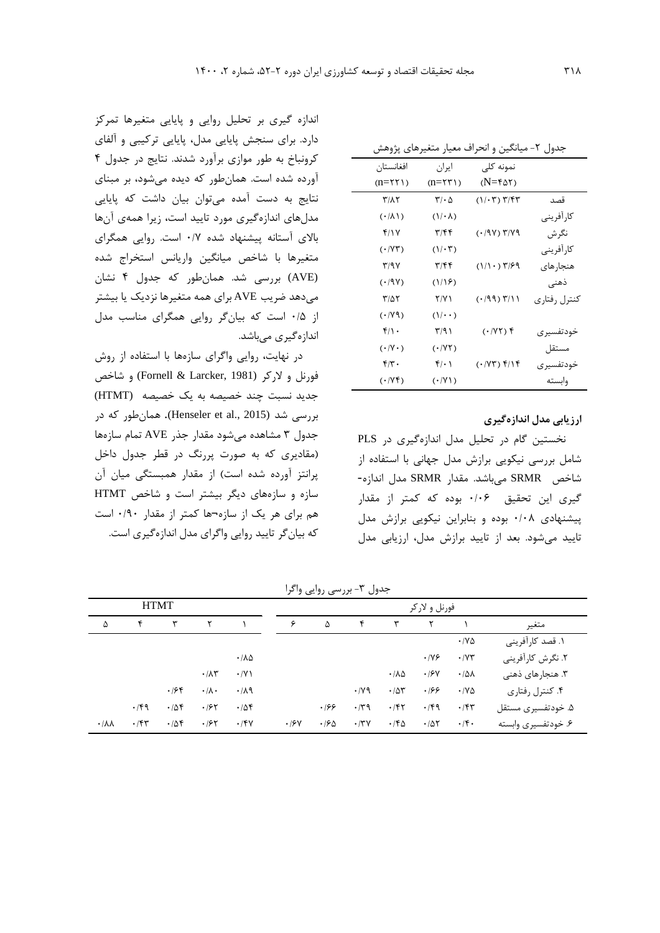|                       |                             | جدول ۲- میانگین و انحراف معیار متغیرهای پژوهش   |               |
|-----------------------|-----------------------------|-------------------------------------------------|---------------|
| افغانستان             | ایران                       | نمونه کلی                                       |               |
| $(n=55)$              | $(n=55)$                    | $(N = f \Delta Y)$                              |               |
| <b>٣/٨٢</b>           | $\mathbf{r}\cdot\mathbf{r}$ | $(1/\cdot 7)$ $7/57$                            | قصد           |
| $(\cdot/\lambda)$     | $(1/\cdot \lambda)$         |                                                 | كار آفريني    |
| 4/17                  | ۳/۴۴                        | ۳/۷۹ (۱۹۷۰)                                     | نگرش          |
| $(\cdot V\mathsf{Y})$ | $(1/\cdot 7)$               |                                                 | كارآفريني     |
| 379Y                  | ۳/۴۴                        | $(1/1 \cdot)$ $\mathbf{r}/\mathbf{\mathcal{F}}$ | هنجار های     |
| (1.9V)                | (1/19)                      |                                                 | ذهنی          |
| ۳/۵۲                  | 7/Y 1                       | (1199)                                          | کنترل ,فتا, ی |
| $(\cdot / Y \wedge)$  | $(1/\cdot \cdot)$           |                                                 |               |
| ۴/۱۰                  | ۳/۹۱                        | $( \cdot / \Upsilon \Upsilon )$ f               | خودتفسیر ی    |
| $(\cdot V\cdot)$      | $( \cdot   Y \setminus Y)$  |                                                 | مستقل         |
| ۴۳۰                   | $f(\cdot)$                  | $(\cdot V\mathbf{T})$ f/1f                      | خودتفسیر ی    |
| $(\cdot Vf)$          | $(\cdot   V)$               |                                                 | وابسته        |

**ارزیابی مدل اندازهگیري**

نخستین گام در تحلیل مدل اندازهگیري در PLS شامل بررسی نیکویی برازش مدل جهانی با استفاده از شاخص SRMR میباشد. مقدار SRMR مدل اندازه- گیري این تحقیق 0/06 بوده که کمتر از مقدار پیشنهادي 0/08 بوده و بنابراین نیکویی برازش مدل تایید میشود. بعد از تایید برازش مدل، ارزیابی مدل

|                        | ۰٫۰۰۰ ۰٫۰٫۰۰۰ ۰٫۰۰۰ ۰٫۰۰۰ ۰٫۰۰۰ ۰٫۰۰۰ ۰٫۰۰۰ ۰٫۰۰۰ ۰٫۰۰۰ ۰٫۰۰۰ ۰٫۰۰۰ ۰٫۰۰۰ ۰٫۰۰۰ ۰٫۰۰۰ ۰٫۰۰۰ ۰٫۰۰۰ ۰ |              |                     |                       |             |               |                   |                       |             |                              |                     |
|------------------------|-----------------------------------------------------------------------------------------------------|--------------|---------------------|-----------------------|-------------|---------------|-------------------|-----------------------|-------------|------------------------------|---------------------|
| <b>HTMT</b>            |                                                                                                     |              |                     |                       |             | فورنل و لاركر |                   |                       |             |                              |                     |
| ۵                      | ۴                                                                                                   | $\mathbf{r}$ | ٢                   |                       | ۶           | Δ             | ۴                 | ٣                     | ٢           |                              | متغير               |
|                        |                                                                                                     |              |                     |                       |             |               |                   |                       |             | $\cdot$ / $\vee$ $\triangle$ | ١. قصد كارآفريني    |
|                        |                                                                                                     |              |                     | $\cdot/\lambda\Delta$ |             |               |                   |                       | $\cdot$ /YF | $\cdot$ / $\vee\tau$         | ۲. نگرش کارآفرینی   |
|                        |                                                                                                     |              | $\cdot/\lambda\tau$ | $\cdot$ /Y)           |             |               |                   | $\cdot/\lambda\Delta$ | $\cdot$ /۶۷ | $\cdot$ / $\Delta\lambda$    | ۳. هنجارهای ذهنی    |
|                        |                                                                                                     | .188         | $\cdot/\lambda$ .   | .119                  |             |               | $\cdot$ /yq       | .78                   | .199        | $\cdot$ / $\vee$ $\triangle$ | ۴. کنترل رفتاري     |
|                        | $\cdot$ /۴۹                                                                                         | .78          | .185                | .788                  |             | .199          | $\cdot$ /٣٩       | .787                  | $\cdot$ /۴۹ | $\cdot$ /۴۳                  | ۵. خودتفسیری مستقل  |
| $\cdot/\lambda\lambda$ | $\cdot$ /۴۳                                                                                         | .78          | .185                | $\cdot$ /۴۷           | $\cdot$ /۶۷ | $\cdot$ /60   | $\cdot$ /۳ $\vee$ | $\cdot$ /۴۵           | .705        | $\cdot$ /۴.                  | ۶. خودتفسیری وابسته |

جدول -3 بررسی روایی واگرا

اندازه گیري بر تحلیل روایی و پایایی متغیرها تمرکز دارد. براي سنجش پایایی مدل، پایایی ترکیبی و آلفاي کرونباخ به طور موازي برآورد شدند. نتایج در جدول 4 آورده شده است. همانطور که دیده میشود، بر مبناي نتایج به دست آمده میتوان بیان داشت که پایایی مدلهاي اندازهگیري مورد تایید است، زیرا همهي آنها بالاي آستانه پیشنهاد شده 0/7 است. روایی همگراي متغیرها با شاخص میانگین واریانس استخراج شده (AVE (بررسی شد. همانطور که جدول 4 نشان میدهد ضریب AVE براي همه متغیرها نزدیک یا بیشتر از 0/5 است که بیانگر روایی همگراي مناسب مدل

اندازهگیري میباشد.

در نهایت، روایی واگراي سازهها با استفاده از روش فورنل و لارکر (1981 ,Larcker & Fornell (و شاخص جدید نسبت چند خصیصه به یک خصیصه (HTMT ( بررسی شد (2015 .Henseler et). همانطور که در جدول 3 مشاهده میشود مقدار جذر AVE تمام سازهها (مقادیري که به صورت پررنگ در قطر جدول داخل پرانتز آورده شده است) از مقدار همبستگی میان آن سازه و سازههاي دیگر بیشتر است و شاخص HTMT هم براي هر یک از سازه¬ها کمتر از مقدار 0/90 است که بیانگر تایید روایی واگراي مدل اندازهگیري است.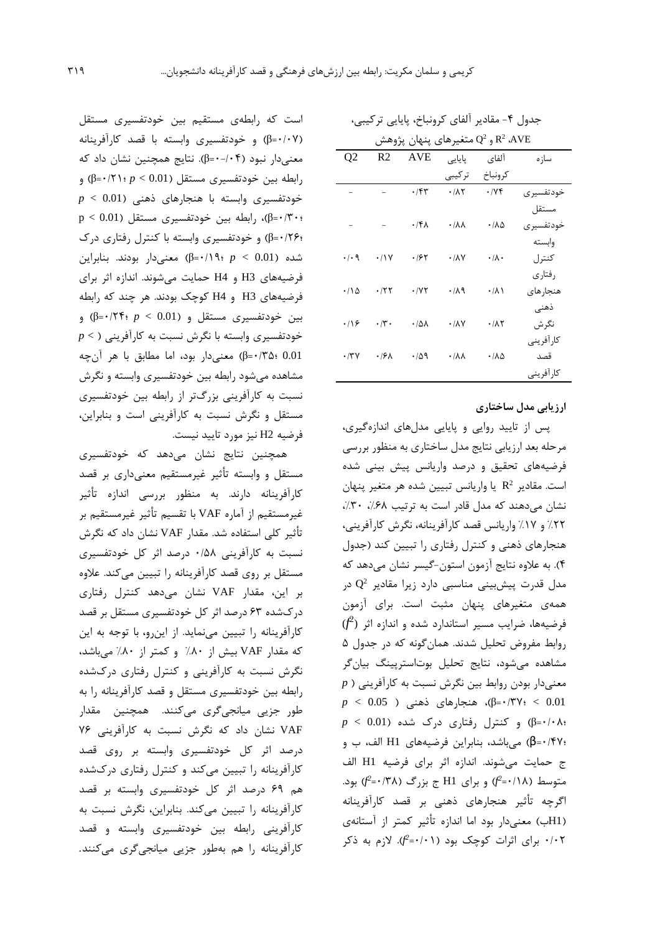| و Q2 متغیرهای پنهان پژوهش R2 ،AVE |                   |                        |                            |                           |            |  |  |  |  |
|-----------------------------------|-------------------|------------------------|----------------------------|---------------------------|------------|--|--|--|--|
| Q <sub>2</sub>                    | R <sub>2</sub>    | <b>AVE</b>             | پایایی                     | آلفاي                     | ساز ہ      |  |  |  |  |
|                                   |                   |                        | تر کیبی                    | كرونباخ                   |            |  |  |  |  |
|                                   |                   | $\cdot$ /۴۳            | $\cdot/\lambda\tau$        | .74                       | خودتفسیر ی |  |  |  |  |
|                                   |                   |                        |                            |                           | مستقل      |  |  |  |  |
|                                   |                   | $.76\lambda$           | $\cdot/\lambda\lambda$     | ۰/۸۵                      | خودتفسير ي |  |  |  |  |
|                                   |                   |                        |                            |                           | وابسته     |  |  |  |  |
| $\cdot$ / $\cdot$ 9               | $\cdot$ /\Y       | ۱۶۲                    | $\cdot$ / $\lambda$ $\vee$ | $\cdot/\lambda$ .         | كنترل      |  |  |  |  |
|                                   |                   |                        |                            |                           | رفتاري     |  |  |  |  |
| ۱۱۵۰                              | .75               | $\cdot$ / $\gamma\tau$ | .119                       | ۰/۸۱                      | هنجار های  |  |  |  |  |
|                                   |                   |                        |                            |                           | ذهنى       |  |  |  |  |
| .19                               | $\cdot \pi \cdot$ | ۰۱۵۸                   | $\cdot$ / $\lambda$ $\vee$ | $\cdot$ / $\wedge$ $\vee$ | نگر ش      |  |  |  |  |
|                                   |                   |                        |                            |                           | كارآفريني  |  |  |  |  |
| $\cdot$ /۳۷                       | ۰۱۶۸              | ۰/۵۹                   | $\cdot/\lambda\lambda$     | ۰/۸۵                      | قصد        |  |  |  |  |
|                                   |                   |                        |                            |                           | كارأفريني  |  |  |  |  |
|                                   |                   |                        |                            |                           |            |  |  |  |  |

جدول ۴- مقادیر آلفای کرونباخ، پایایی ترکیبی،

**ارزیابی مدل ساختاري**

پس از تایید روایی و پایایی مدلهاي اندازهگیري، مرحله بعد ارزیابی نتایج مدل ساختاري به منظور بررسی فرضیههاي تحقیق و درصد واریانس پیش بینی شده است. مقادیر  $\rm R^2$  یا واریانس تبیین شده هر متغیر پنهان نشان می دهند که مدل قادر است به ترتیب ۶۸٪، ۳۰٪، %22 و %17 واریانس قصد کارآفرینانه، نگرش کارآفرینی، هنجارهاي ذهنی و کنترل رفتاري را تبیین کند (جدول 4). به علاوه نتایج آزمون استون-گیسر نشان میدهد که مدل قدرت پیشبینی مناسبی دارد زیرا مقادیر  $\rm Q^2$  در همهي متغیرهاي پنهان مثبت است. براي آزمون *f* (<sup>2</sup> فرضیهها، ضرایب مسیر استاندارد شده و اندازه اثر ( روابط مفروض تحلیل شدند. همانگونه که در جدول 5 مشاهده میشود، نتایج تحلیل بوتاسترپینگ بیانگر  $p$  ) معنیدار بودن روابط بین نگرش نسبت به کارآفرینی 0.01 > ؛0/37=β(، هنجارهاي ذهنی ( 0.05 > *p* ؛0/08=β (و کنترل رفتاري درك شده (0.01 > *p* ؛0/47=β (میباشد، بنابراین فرضیههاي 1H الف، ب و ج حمایت میشوند. اندازه اثر براي فرضیه 1H الف *f* (بود. *<sup>2</sup> f* (و براي 1H ج بزرگ (0/38= *<sup>2</sup>* متوسط (0/18= اگرچه تأثیر هنجارهاي ذهنی بر قصد کارآفرینانه (1Hب) معنیدار بود اما اندازه تأثیر کمتر از آستانهي *f*(. لازم به ذکر *<sup>2</sup>* 0/02 براي اثرات کوچک بود (0/01=

است که رابطهي مستقیم بین خودتفسیري مستقل (0/07=β (و خودتفسیري وابسته با قصد کارآفرینانه معنیدار نبود (0-/04=β(. نتایج همچنین نشان داد که رابطه بین خودتفسیري مستقل (0.01 > *p* ؛0/21=β (و خودتفسیري وابسته با هنجارهاي ذهنی (0.01 > *p*  $p < 0.01$ )، رابطه بین خودتفسیری مستقل  $\beta = \cdot$  /۳۰۰ ؛0/26=β (و خودتفسیري وابسته با کنترل رفتاري درك شده (0.01 > *p* ؛0/19=β (معنیدار بودند. بنابراین فرضیههاي 3H و 4H حمایت میشوند. اندازه اثر براي فرضیههاي 3H و 4H کوچک بودند. هر چند که رابطه بین خودتفسیري مستقل و (0.01 > *p* ؛0/24=β (و خودتفسیري وابسته با نگرش نسبت به کارآفرینی ( > *p* 0.01 ؛0/35=β (معنیدار بود، اما مطابق با هر آنچه مشاهده میشود رابطه بین خودتفسیري وابسته و نگرش نسبت به کارآفرینی بزرگتر از رابطه بین خودتفسیري مستقل و نگرش نسبت به کارآفرینی است و بنابراین، فرضیه 2H نیز مورد تایید نیست.

همچنین نتایج نشان میدهد که خودتفسیري مستقل و وابسته تأثیر غیرمستقیم معنیداري بر قصد کارآفرینانه دارند. به منظور بررسی اندازه تأثیر غیرمستقیم از آماره VAF با تقسیم تأثیر غیرمستقیم بر تأثیر کلی استفاده شد. مقدار VAF نشان داد که نگرش نسبت به کارآفرینی 0/58 درصد اثر کل خودتفسیري مستقل بر روي قصد کارآفرینانه را تبیین میکند. علاوه بر این، مقدار VAF نشان میدهد کنترل رفتاري دركشده 63 درصد اثر کل خودتفسیري مستقل بر قصد کارآفرینانه را تبیین مینماید. از اینرو، با توجه به این که مقدار VAF بیش از %80 و کمتر از %80 میباشد، نگرش نسبت به کارآفرینی و کنترل رفتاري دركشده رابطه بین خودتفسیري مستقل و قصد کارآفرینانه را به طور جزیی میانجیگري میکنند. همچنین مقدار VAF نشان داد که نگرش نسبت به کارآفرینی 76 درصد اثر کل خودتفسیري وابسته بر روي قصد کارآفرینانه را تبیین میکند و کنترل رفتاري دركشده هم 69 درصد اثر کل خودتفسیري وابسته بر قصد کارآفرینانه را تبیین میکند. بنابراین، نگرش نسبت به کارآفرینی رابطه بین خودتفسیري وابسته و قصد کارآفرینانه را هم بهطور جزیی میانجیگري میکنند.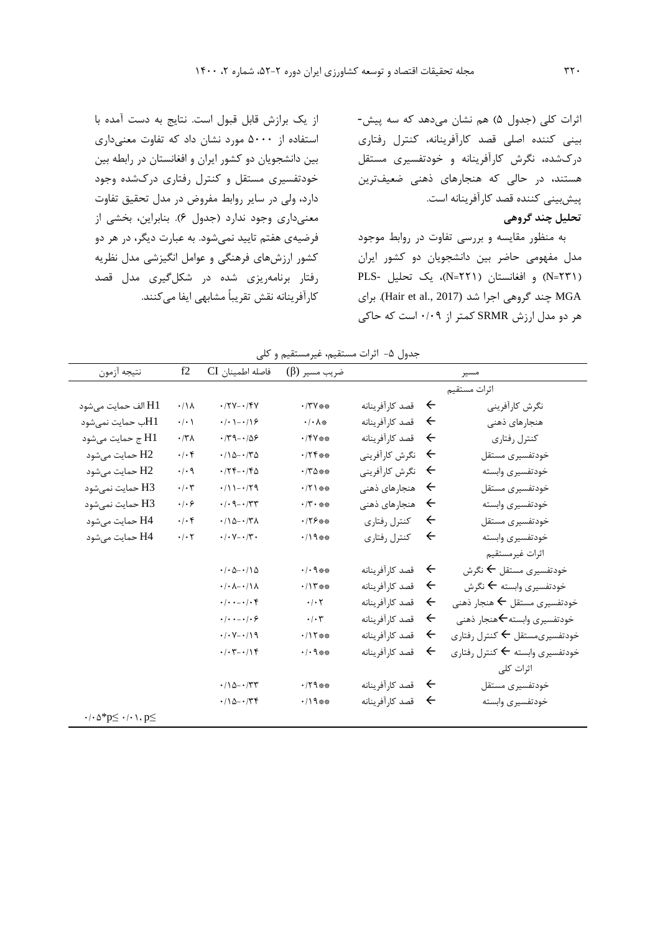اثرات کلی (جدول 5) هم نشان میدهد که سه پیش- بینی کننده اصلی قصد کارآفرینانه، کنترل رفتاري دركشده، نگرش کارآفرینانه و خودتفسیري مستقل هستند، در حالی که هنجارهاي ذهنی ضعیفترین پیشبینی کننده قصد کارآفرینانه است.

**تحلیل چند گروهی**

به منظور مقایسه و بررسی تفاوت در روابط موجود مدل مفهومی حاضر بین دانشجویان دو کشور ایران (231=N (و افغانستان (221=N(، یک تحلیل -PLS MGA چند گروهی اجرا شد (2017 .,al et Hair(. براي هر دو مدل ارزش SRMR کمتر از 0/09 است که حاکی

از یک برازش قابل قبول است. نتایج به دست آمده با استفاده از 5000 مورد نشان داد که تفاوت معنیداري بین دانشجویان دو کشور ایران و افغانستان در رابطه بین خودتفسیري مستقل و کنترل رفتاري دركشده وجود دارد، ولی در سایر روابط مفروض در مدل تحقیق تفاوت معنیداري وجود ندارد (جدول 6). بنابراین، بخشی از فرضیهي هفتم تایید نمیشود. به عبارت دیگر، در هر دو کشور ارزشهاي فرهنگی و عوامل انگیزشی مدل نظریه رفتار برنامهریزي شده در شکلگیري مدل قصد کارآفرینانه نقش تقریباً مشابهی ایفا میکنند.

جدول ۵- اثرات مستقیم، غیرمستقیم و کلی

| نتيجه آزمون                                                                              | f2                           | فاصله اطمينان CI                               | ضريب مسير (β)              |                   |                   | مسير                                              |
|------------------------------------------------------------------------------------------|------------------------------|------------------------------------------------|----------------------------|-------------------|-------------------|---------------------------------------------------|
|                                                                                          |                              |                                                |                            |                   |                   | اثرات مستقيم                                      |
| H1 الف حمايت مي شود                                                                      | $\cdot/\lambda$              | $\cdot$ /۲۷ - $\cdot$ /۴۷                      | $\cdot$ /۳۷ **             | + قصد كارأفرينانه |                   | نگرش كارآفريني                                    |
| H1ب حمايت نمي شود                                                                        | $\cdot/\cdot$                | $\cdot$ / $\cdot$ / $\cdot$ / $\circ$          | $\cdot$ / $\cdot$ A $\ast$ | ← قصد کارآفرینانه |                   | هنجارهای ذهنی                                     |
| H1 ج حمايت مي شود                                                                        | $\cdot$ /۳ $\Lambda$         | $\cdot$ /٣٩ - - /۵۶                            | $\cdot$ /۴۷**              | قصد كارآفرينانه   | $\leftarrow$      | كنترل رفتاري                                      |
| H2 حمايت مي شود                                                                          | $.$ / $.$ ۴                  | $\cdot$ /10- $\cdot$ /٣٥                       | $.75***$                   | نگرش كارآفريني    | $\leftarrow$      | خودتفسيرى مستقل                                   |
| H2 حمايت مىشود                                                                           | $\cdot$ / $\cdot$ 9          | $\cdot$ /۲۴ - $\cdot$ /۴۵                      | $\cdot$ /۳۵**              | نگرش كارآفريني    | $\leftarrow$      | خودتفسيرى وابسته                                  |
| H3 حمايت نمي شود                                                                         | $\cdot/\cdot$ ٣              | $.71 - .79$                                    | $\cdot$ /٢١**              | هنجارهای ذهنی     | $\leftarrow$      | خودتفسيرى مستقل                                   |
| H3 حمايت نمي شود                                                                         | $\cdot$ / $\cdot$ $\epsilon$ | $\cdot$ / $\cdot$ 9 - $\cdot$ /۳۳              | $\cdot$ /۳ $\cdot$ **      | هنجارهای ذهنی     | $\leftarrow$      | خودتفسيري وابسته                                  |
| H4 حمايت م <sub>ى</sub> شود                                                              | $\cdot \mid \cdot \rangle$   | $\cdot/\Delta - \cdot/\Gamma\Lambda$           | $.179***$                  | كنترل رفتاري      | $\leftarrow$      | خودتفسيرى مستقل                                   |
| H4 حمايت مىشود                                                                           | $\cdot$ / $\cdot$ $\cdot$    | $\cdot$ / $\cdot$ V $ \cdot$ /۳ $\cdot$        | $.419***$                  | كنترل رفتاري      | $\leftarrow$      | خودتفسيرى وابسته                                  |
|                                                                                          |                              |                                                |                            |                   |                   | اثرات غيرمستقيم                                   |
|                                                                                          |                              | $\cdot$ / $\cdot$ $\circ$ $\cdot$ / $\circ$    | $.4.9***$                  | ← قصد كارأفرينانه |                   | خودتفسيري مستقل ← نگرش                            |
|                                                                                          |                              | $-(\cdot \lambda - \cdot)$                     | .411                       | ← قصد کارآفرینانه |                   | خودتفسیری وابسته ← نگرش                           |
|                                                                                          |                              | $\cdot/\cdot\cdot-\cdot/\cdot f$               | $\cdot$ / $\cdot$ $\tau$   | قصد كارآفرينانه   | $\leftarrow$      | خودتفسيري مستقل ← هنجار ذهني                      |
|                                                                                          |                              | $\cdot$ / $\cdot$ $ \cdot$ / $\cdot$ $\varphi$ | $\cdot/\cdot7$             | قصد كارآفرينانه   | $\leftarrow$      | خودتفسيري وابسته $\blacktriangleright$ هنجار ذهني |
|                                                                                          |                              | $\cdot$ / $\cdot$ $\vee$ $\cdot$ / $\wedge$ 9  | $.117***$                  | قصد كارآفرينانه   | $\leftarrow$      | خودتفسیریمستقل ← کنترل رفتاری                     |
|                                                                                          |                              | $\cdot$ / $\cdot$ ۳ - $\cdot$ / $\uparrow$ ۴   | $\cdot/\cdot$ 9**          | قصد كارآفرينانه   | $\leftarrow$      | خودتفسيري وابسته كحكنترل رفتاري                   |
|                                                                                          |                              |                                                |                            |                   |                   | اثرات كلى                                         |
|                                                                                          |                              | $\cdot/\Omega - \cdot/\tau\tau$                | $\cdot$ /٢٩**              | قصد كارآفرينانه   | $\rightarrow$     | خودتفسيرى مستقل                                   |
|                                                                                          |                              | $\cdot/\Omega - \cdot/\tau$                    | $.419***$                  | قصد كارآفرينانه   | $\leftrightarrow$ | خودتفسيرى وابسته                                  |
| $\cdot$ / $\cdot$ $\land$ $\uparrow$ $\infty$ $\leq$ $\cdot$ / $\cdot$ $\uparrow$ $\leq$ |                              |                                                |                            |                   |                   |                                                   |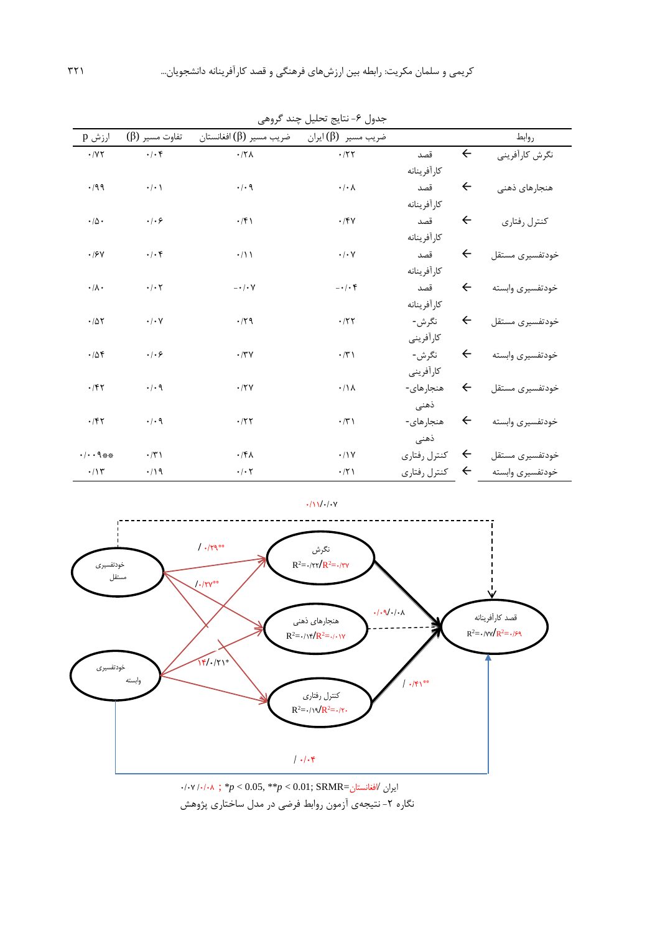| رر ت<br>۰۰ پ<br>يت<br>. رن |                                                                     |                            |                                                                |              |              |                  |  |  |  |
|----------------------------|---------------------------------------------------------------------|----------------------------|----------------------------------------------------------------|--------------|--------------|------------------|--|--|--|
| ارزش p                     | تفاوت مسير (β)                                                      | ضريب مسير (β) افغانستان    | ضريب مسير (β) ايران                                            |              |              | روابط            |  |  |  |
| $\cdot$ / Y $\tau$         | $\boldsymbol{\cdot}\, \boldsymbol{\cdot}\, \boldsymbol{\mathsf{f}}$ | $.77\lambda$               | $\cdot$ /٢٢                                                    | قصد          | $\leftarrow$ | نگرش كارآفريني   |  |  |  |
|                            |                                                                     |                            |                                                                | كارأفرينانه  |              |                  |  |  |  |
| .499                       | $\cdot$   $\cdot$                                                   | $\cdot$ / $\cdot$ 9        | $\boldsymbol{\cdot}\,/\boldsymbol{\cdot}\,\boldsymbol{\wedge}$ | قصد          | $\leftarrow$ | هنجارهای ذهنی    |  |  |  |
|                            |                                                                     |                            |                                                                | كارأفرينانه  |              |                  |  |  |  |
| $\cdot/\Delta$ .           | $\cdot$ / $\cdot$ $\epsilon$                                        | $\cdot$ /۴)                | $\cdot$ /۴٧                                                    | قصد          | $\leftarrow$ | كنترل رفتاري     |  |  |  |
|                            |                                                                     |                            |                                                                | كارأفرينانه  |              |                  |  |  |  |
| $\boldsymbol{\cdot}$ /۶٧   | $\cdot$ / $\cdot$ $\circ$                                           | $\cdot/1$                  | $\boldsymbol{\cdot}\,/\boldsymbol{\cdot}\, \mathsf{Y}$         | قصد          | $\leftarrow$ | خودتفسيرى مستقل  |  |  |  |
|                            |                                                                     |                            |                                                                | كارأفرينانه  |              |                  |  |  |  |
| $\cdot/\lambda$ .          | $\cdot$ / $\cdot$ $\cdot$                                           | $- \cdot / \cdot V$        | $- \cdot \cdot \cdot f$                                        | قصد          | $\leftarrow$ | خودتفسيرى وابسته |  |  |  |
|                            |                                                                     |                            |                                                                | كارأفرينانه  |              |                  |  |  |  |
| .705                       | $\cdot$ / $\cdot$ $\vee$                                            | .79                        | .777                                                           | نگرش-        | $\leftarrow$ | خودتفسيرى مستقل  |  |  |  |
|                            |                                                                     |                            |                                                                | كارأفريني    |              |                  |  |  |  |
| .708                       | .   . 5                                                             | .77V                       | $\cdot$ /٣)                                                    | نگرش-        | $\leftarrow$ | خودتفسيرى وابسته |  |  |  |
|                            |                                                                     |                            |                                                                | كارأفريني    |              |                  |  |  |  |
| .75                        | $\cdot$ / $\cdot$ 9                                                 | .77V                       | $\cdot/\lambda$                                                | هنجارهای-    | $\leftarrow$ | خودتفسيرى مستقل  |  |  |  |
|                            |                                                                     |                            |                                                                | ذهنى         |              |                  |  |  |  |
| .797                       | $\cdot$ / $\cdot$ 9                                                 | .157                       | $\boldsymbol{\cdot}$ /٣ ١                                      | هنجارهای-    | $\leftarrow$ | خودتفسيرى وابسته |  |  |  |
|                            |                                                                     |                            |                                                                | ذهنى         |              |                  |  |  |  |
| . 1.14                     | $\cdot$ /٣١                                                         | $.$ /۴۸                    | $\cdot/1$                                                      | كنترل رفتاري | $\leftarrow$ | خودتفسيرى مستقل  |  |  |  |
| $\cdot/\gamma$             | $\cdot/19$                                                          | $\cdot/\cdot$ $\mathsf{r}$ | $\cdot$ /٢١                                                    | كنترل رفتاري | $\leftarrow$ | خودتفسيرى وابسته |  |  |  |

جدول ۶- نتایج تحلیل چند گروهی



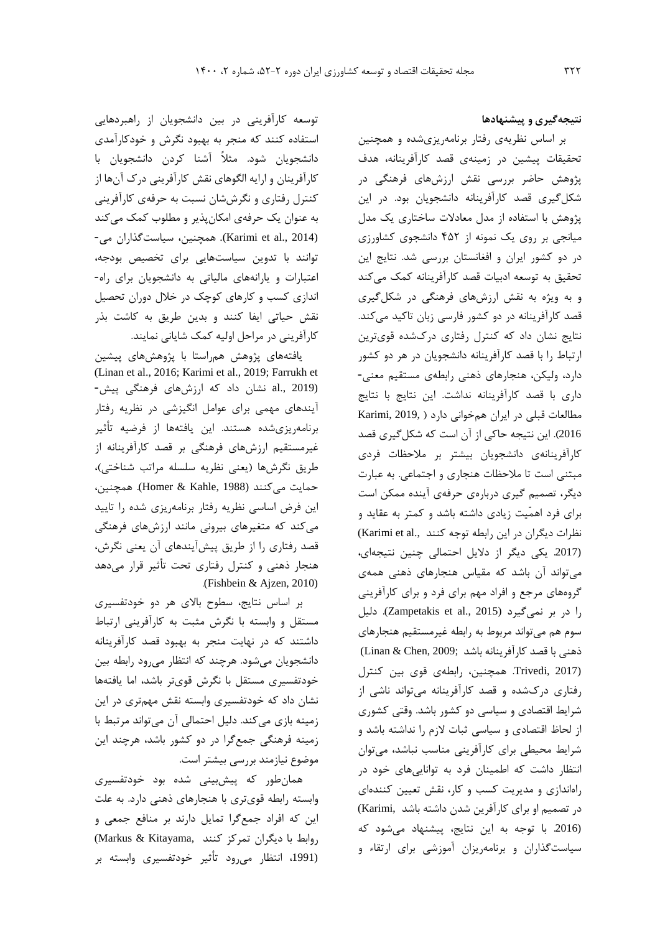**نتیجهگیري و پیشنهادها**

بر اساس نظریهي رفتار برنامهریزيشده و همچنین تحقیقات پیشین در زمینهي قصد کارآفرینانه، هدف پژوهش حاضر بررسی نقش ارزشهاي فرهنگی در شکلگیري قصد کارآفرینانه دانشجویان بود. در این پژوهش با استفاده از مدل معادلات ساختاري یک مدل میانجی بر روي یک نمونه از 452 دانشجوي کشاورزي در دو کشور ایران و افغانستان بررسی شد. نتایج این تحقیق به توسعه ادبیات قصد کارآفرینانه کمک میکند و به ویژه به نقش ارزشهاي فرهنگی در شکلگیري قصد کارآفرینانه در دو کشور فارسی زبان تاکید میکند. نتایج نشان داد که کنترل رفتاري دركشده قويترین ارتباط را با قصد کارآفرینانه دانشجویان در هر دو کشور دارد، ولیکن، هنجارهاي ذهنی رابطهي مستقیم معنی- داري با قصد کارآفرینانه نداشت. این نتایج با نتایج مطالعات قبلی در ایران همخوانی دارد ( Karimi, 2019, 2016). این نتیجه حاکی از آن است که شکلگیري قصد کارآفرینانهي دانشجویان بیشتر بر ملاحظات فردي مبتنی است تا ملاحظات هنجاري و اجتماعی. به عبارت دیگر، تصمیم گیري دربارهي حرفهي آینده ممکن است براي فرد اهمّیت زیادي داشته باشد و کمتر به عقاید و نظرات دیگران در این رابطه توجه کنند .(Karimi et al (.2017 یکی دیگر از دلایل احتمالی چنین نتیجهاي، میتواند آن باشد که مقیاس هنجارهاي ذهنی همهي گروههاي مرجع و افراد مهم براي فرد و براي کارآفرینی را در بر نمی گیرد (Zampetakis et al., 2015). دلیل سوم هم میتواند مربوط به رابطه غیرمستقیم هنجارهاي ذهنی با قصد کارآفرینانه باشد ;Linan & Chen, 2009 (2017 ,Trivedi. همچنین، رابطهي قوي بین کنترل رفتاري دركشده و قصد کارآفرینانه میتواند ناشی از شرایط اقتصادي و سیاسی دو کشور باشد. وقتی کشوري از لحاظ اقتصادي و سیاسی ثبات لازم را نداشته باشد و شرایط محیطی براي کارآفرینی مناسب نباشد، میتوان انتظار داشت که اطمینان فرد به تواناییهاي خود در راهاندازي و مدیریت کسب و کار، نقش تعیین کنندهاي در تصمیم او براي کارآفرین شدن داشته باشد ,Karimi( (.2016 با توجه به این نتایج، پیشنهاد میشود که سیاستگذاران و برنامهریزان آموزشی براي ارتقاء و

توسعه کارآفرینی در بین دانشجویان از راهبردهایی استفاده کنند که منجر به بهبود نگرش و خودکارآمدي دانشجویان شود. مثلاً آشنا کردن دانشجویان با کارآفرینان و ارایه الگوهاي نقش کارآفرینی درك آنها از کنترل رفتاري و نگرششان نسبت به حرفهي کارآفرینی به عنوان یک حرفهي امکانپذیر و مطلوب کمک میکند (Karimi et al., 2014). همچنین، سیاستگذاران می-توانند با تدوین سیاستهایی براي تخصیص بودجه، اعتبارات و یارانههاي مالیاتی به دانشجویان براي راه- اندازي کسب و کارهاي کوچک در خلال دوران تحصیل نقش حیاتی ایفا کنند و بدین طریق به کاشت بذر کارآفرینی در مراحل اولیه کمک شایانی نمایند.

یافتههاي پژوهش همراستا با پژوهشهاي پیشین (Linan et al., 2016; Karimi et al., 2019; Farrukh et (2019 .,al نشان داد که ارزشهاي فرهنگی پیش- آیندهاي مهمی براي عوامل انگیزشی در نظریه رفتار برنامهریزيشده هستند. این یافتهها از فرضیه تأثیر غیرمستقیم ارزشهاي فرهنگی بر قصد کارآفرینانه از طریق نگرشها (یعنی نظریه سلسله مراتب شناختی)، حمایت میکنند (Homer & Kahle, 1988). همچنین، این فرض اساسی نظریه رفتار برنامهریزي شده را تایید میکند که متغیرهاي بیرونی مانند ارزشهاي فرهنگی قصد رفتاري را از طریق پیشآیندهاي آن یعنی نگرش، هنجار ذهنی و کنترل رفتاري تحت تأثیر قرار میدهد .(Fishbein & Ajzen, 2010)

بر اساس نتایج، سطوح بالاي هر دو خودتفسیري مستقل و وابسته با نگرش مثبت به کارآفرینی ارتباط داشتند که در نهایت منجر به بهبود قصد کارآفرینانه دانشجویان میشود. هرچند که انتظار میرود رابطه بین خودتفسیري مستقل با نگرش قويتر باشد، اما یافتهها نشان داد که خودتفسیري وابسته نقش مهمتري در این زمینه بازي میکند. دلیل احتمالی آن میتواند مرتبط با زمینه فرهنگی جمعگرا در دو کشور باشد، هرچند این موضوع نیازمند بررسی بیشتر است.

همانطور که پیشبینی شده بود خودتفسیري وابسته رابطه قويتري با هنجارهاي ذهنی دارد. به علت این که افراد جمعگرا تمایل دارند بر منافع جمعی و روابط با دیگران تمرکز کنند ,Markus & Kitayama) (،1991 انتظار میرود تأثیر خودتفسیري وابسته بر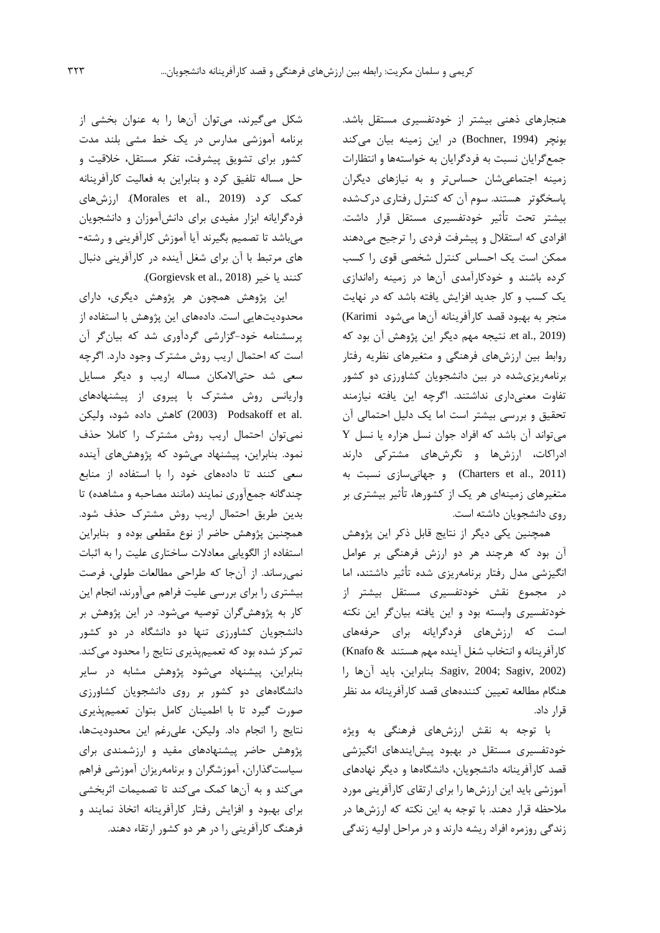هنجارهاي ذهنی بیشتر از خودتفسیري مستقل باشد. بونچر (1994 ,Bochner (در این زمینه بیان میکند جمعگرایان نسبت به فردگرایان به خواستهها و انتظارات زمینه اجتماعیشان حساستر و به نیازهاي دیگران پاسخگوتر هستند. سوم آن که کنترل رفتاري دركشده بیشتر تحت تأثیر خودتفسیري مستقل قرار داشت. افرادي که استقلال و پیشرفت فردي را ترجیح میدهند ممکن است یک احساس کنترل شخصی قوي را کسب کرده باشند و خودکارآمدي آنها در زمینه راهاندازي یک کسب و کار جدید افزایش یافته باشد که در نهایت منجر به بهبود قصد کارآفرینانه آنها میشود Karimi( (2019 .,al et. نتیجه مهم دیگر این پژوهش آن بود که روابط بین ارزشهاي فرهنگی و متغیرهاي نظریه رفتار برنامهریزيشده در بین دانشجویان کشاورزي دو کشور تفاوت معنیداري نداشتند. اگرچه این یافته نیازمند تحقیق و بررسی بیشتر است اما یک دلیل احتمالی آن میتواند آن باشد که افراد جوان نسل هزاره یا نسل Y ادراکات، ارزشها و نگرشهاي مشترکی دارند (Charters et al., 2011) و جهانیسازی نسبت به متغیرهاي زمینهاي هر یک از کشورها، تأثیر بیشتري بر روي دانشجویان داشته است.

همچنین یکی دیگر از نتایج قابل ذکر این پژوهش آن بود که هرچند هر دو ارزش فرهنگی بر عوامل انگیزشی مدل رفتار برنامهریزي شده تأثیر داشتند، اما در مجموع نقش خودتفسیري مستقل بیشتر از خودتفسیري وابسته بود و این یافته بیانگر این نکته است که ارزشهاي فردگرایانه براي حرفههاي کارآفرینانه و انتخاب شغل آینده مهم هستند & Knafo( (2002 ,Sagiv; 2004 ,Sagiv. بنابراین، باید آنها را هنگام مطالعه تعیین کنندههاي قصد کارآفرینانه مد نظر قرار داد.

با توجه به نقش ارزشهاي فرهنگی به ویژه خودتفسیري مستقل در بهبود پیشایندهاي انگیزشی قصد کارآفرینانه دانشجویان، دانشگاهها و دیگر نهادهاي آموزشی باید این ارزشها را براي ارتقاي کارآفرینی مورد ملاحظه قرار دهند. با توجه به این نکته که ارزشها در زندگی روزمره افراد ریشه دارند و در مراحل اولیه زندگی

شکل میگیرند، میتوان آنها را به عنوان بخشی از برنامه آموزشی مدارس در یک خط مشی بلند مدت کشور براي تشویق پیشرفت، تفکر مستقل، خلاقیت و حل مساله تلفیق کرد و بنابراین به فعالیت کارآفرینانه کمک کرد (2019 .,al et Morales(. ارزشهاي فردگرایانه ابزار مفیدي براي دانشآموزان و دانشجویان میباشد تا تصمیم بگیرند آیا آموزش کارآفرینی و رشته- هاي مرتبط با آن براي شغل آینده در کارآفرینی دنبال کنند یا خیر (2018 .Gorgievsk et al., 20

این پژوهش همچون هر پژوهش دیگري، داراي محدودیتهایی است. دادههاي این پژوهش با استفاده از پرسشنامه خود-گزارشی گردآوري شد که بیانگر آن است که احتمال اریب روش مشترك وجود دارد. اگرچه سعی شد حتیالامکان مساله اریب و دیگر مسایل واریانس روش مشترك با پیروي از پیشنهادهاي .al et Podsakoff) 2003 (کاهش داده شود، ولیکن نمیتوان احتمال اریب روش مشترك را کاملا حذف نمود. بنابراین، پیشنهاد میشود که پژوهشهاي آینده سعی کنند تا دادههاي خود را با استفاده از منابع چندگانه جمعآوري نمایند (مانند مصاحبه و مشاهده) تا بدین طریق احتمال اریب روش مشترك حذف شود. همچنین پژوهش حاضر از نوع مقطعی بوده و بنابراین استفاده از الگویابی معادلات ساختاري علیت را به اثبات نمیرساند. از آنجا که طراحی مطالعات طولی، فرصت بیشتري را براي بررسی علیت فراهم میآورند، انجام این کار به پژوهشگران توصیه میشود. در این پژوهش بر دانشجویان کشاورزي تنها دو دانشگاه در دو کشور تمرکز شده بود که تعمیمپذیري نتایج را محدود میکند. بنابراین، پیشنهاد میشود پژوهش مشابه در سایر دانشگاههاي دو کشور بر روي دانشجویان کشاورزي صورت گیرد تا با اطمینان کامل بتوان تعمیمپذیري نتایج را انجام داد. ولیکن، علیرغم این محدودیتها، پژوهش حاضر پیشنهادهاي مفید و ارزشمندي براي سیاستگذاران، آموزشگران و برنامهریزان آموزشی فراهم میکند و به آنها کمک میکند تا تصمیمات اثربخشی براي بهبود و افزایش رفتار کارآفرینانه اتخاذ نمایند و فرهنگ کارآفرینی را در هر دو کشور ارتقاء دهند.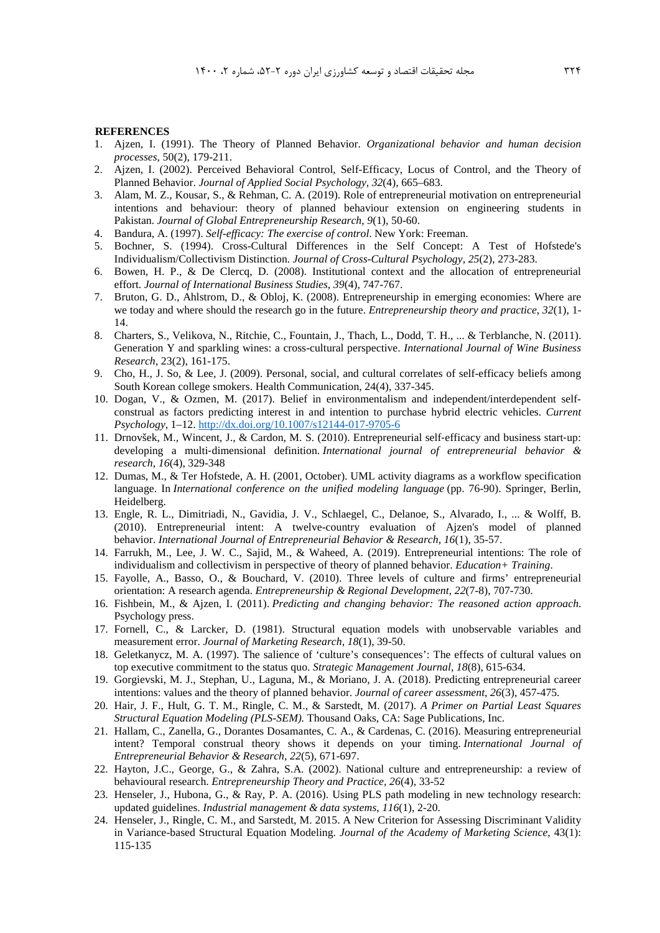#### **REFERENCES**

- 1. Ajzen, I. (1991). The Theory of Planned Behavior. *Organizational behavior and human decision processes*, 50(2), 179-211.
- 2. Ajzen, I. (2002). Perceived Behavioral Control, Self-Efficacy, Locus of Control, and the Theory of Planned Behavior. *Journal of Applied Social Psychology, 32*(4), 665–683.
- 3. Alam, M. Z., Kousar, S., & Rehman, C. A. (2019). Role of entrepreneurial motivation on entrepreneurial intentions and behaviour: theory of planned behaviour extension on engineering students in Pakistan. *Journal of Global Entrepreneurship Research*, *9*(1), 50-60.
- 4. Bandura, A. (1997). *Self-efficacy: The exercise of control*. New York: Freeman.
- 5. Bochner, S. (1994). Cross-Cultural Differences in the Self Concept: A Test of Hofstede's Individualism/Collectivism Distinction. *Journal of Cross-Cultural Psychology, 25*(2), 273-283.
- 6. Bowen, H. P., & De Clercq, D. (2008). Institutional context and the allocation of entrepreneurial effort. *Journal of International Business Studies*, *39*(4), 747-767.
- 7. Bruton, G. D., Ahlstrom, D., & Obloj, K. (2008). Entrepreneurship in emerging economies: Where are we today and where should the research go in the future. *Entrepreneurship theory and practice*, *32*(1), 1- 14.
- 8. Charters, S., Velikova, N., Ritchie, C., Fountain, J., Thach, L., Dodd, T. H., ... & Terblanche, N. (2011). Generation Y and sparkling wines: a cross-cultural perspective. *International Journal of Wine Business Research*, 23(2), 161-175.
- 9. Cho, H., J. So, & Lee, J. (2009). Personal, social, and cultural correlates of self-efficacy beliefs among South Korean college smokers. Health Communication, 24(4), 337-345.
- 10. Dogan, V., & Ozmen, M. (2017). Belief in environmentalism and independent/interdependent selfconstrual as factors predicting interest in and intention to purchase hybrid electric vehicles. *Current Psychology*, 1–12. http://dx.doi.org/10.1007/s12144-017-9705-6
- 11. Drnovšek, M., Wincent, J., & Cardon, M. S. (2010). Entrepreneurial self-efficacy and business start-up: developing a multi‐dimensional definition. *International journal of entrepreneurial behavior & research*, *16*(4), 329-348
- 12. Dumas, M., & Ter Hofstede, A. H. (2001, October). UML activity diagrams as a workflow specification language. In *International conference on the unified modeling language* (pp. 76-90). Springer, Berlin, Heidelberg.
- 13. Engle, R. L., Dimitriadi, N., Gavidia, J. V., Schlaegel, C., Delanoe, S., Alvarado, I., ... & Wolff, B. (2010). Entrepreneurial intent: A twelve-country evaluation of Ajzen's model of planned behavior. *International Journal of Entrepreneurial Behavior & Research*, *16*(1), 35-57.
- 14. Farrukh, M., Lee, J. W. C., Sajid, M., & Waheed, A. (2019). Entrepreneurial intentions: The role of individualism and collectivism in perspective of theory of planned behavior. *Education+ Training*.
- 15. Fayolle, A., Basso, O., & Bouchard, V. (2010). Three levels of culture and firms' entrepreneurial orientation: A research agenda. *Entrepreneurship & Regional Development*, *22*(7-8), 707-730.
- 16. Fishbein, M., & Ajzen, I. (2011). *Predicting and changing behavior: The reasoned action approach*. Psychology press.
- 17. Fornell, C., & Larcker, D. (1981). Structural equation models with unobservable variables and measurement error. *Journal of Marketing Research, 18*(1), 39-50.
- 18. Geletkanycz, M. A. (1997). The salience of 'culture's consequences': The effects of cultural values on top executive commitment to the status quo. *Strategic Management Journal*, *18*(8), 615-634.
- 19. Gorgievski, M. J., Stephan, U., Laguna, M., & Moriano, J. A. (2018). Predicting entrepreneurial career intentions: values and the theory of planned behavior. *Journal of career assessment*, *26*(3), 457-475.
- 20. Hair, J. F., Hult, G. T. M., Ringle, C. M., & Sarstedt, M. (2017). *A Primer on Partial Least Squares Structural Equation Modeling (PLS-SEM).* Thousand Oaks, CA: Sage Publications, Inc.
- 21. Hallam, C., Zanella, G., Dorantes Dosamantes, C. A., & Cardenas, C. (2016). Measuring entrepreneurial intent? Temporal construal theory shows it depends on your timing. *International Journal of Entrepreneurial Behavior & Research*, *22*(5), 671-697.
- 22. Hayton, J.C., George, G., & Zahra, S.A. (2002). National culture and entrepreneurship: a review of behavioural research. *Entrepreneurship Theory and Practice, 26*(4), 33-52
- 23. Henseler, J., Hubona, G., & Ray, P. A. (2016). Using PLS path modeling in new technology research: updated guidelines. *Industrial management & data systems*, *116*(1), 2-20.
- 24. Henseler, J., Ringle, C. M., and Sarstedt, M. 2015. A New Criterion for Assessing Discriminant Validity in Variance-based Structural Equation Modeling. *Journal of the Academy of Marketing Science*, 43(1): 115-135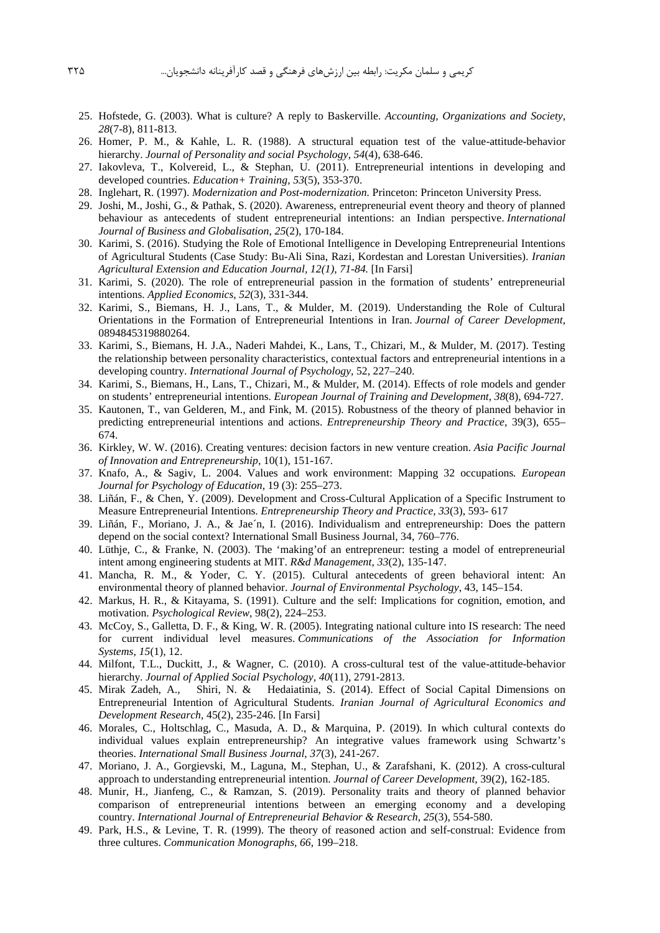- 25. Hofstede, G. (2003). What is culture? A reply to Baskerville. *Accounting, Organizations and Society*, *28*(7-8), 811-813.
- 26. Homer, P. M., & Kahle, L. R. (1988). A structural equation test of the value-attitude-behavior hierarchy. *Journal of Personality and social Psychology*, *54*(4), 638-646.
- 27. Iakovleva, T., Kolvereid, L., & Stephan, U. (2011). Entrepreneurial intentions in developing and developed countries. *Education+ Training*, *53*(5), 353-370.
- 28. Inglehart, R. (1997). *Modernization and Post-modernization.* Princeton: Princeton University Press.
- 29. Joshi, M., Joshi, G., & Pathak, S. (2020). Awareness, entrepreneurial event theory and theory of planned behaviour as antecedents of student entrepreneurial intentions: an Indian perspective. *International Journal of Business and Globalisation*, *25*(2), 170-184.
- 30. Karimi, S. (2016). Studying the Role of Emotional Intelligence in Developing Entrepreneurial Intentions of Agricultural Students (Case Study: Bu-Ali Sina, Razi, Kordestan and Lorestan Universities). *Iranian Agricultural Extension and Education Journal, 12(1), 71-84.* [In Farsi]
- 31. Karimi, S. (2020). The role of entrepreneurial passion in the formation of students' entrepreneurial intentions. *Applied Economics*, *52*(3), 331-344.
- 32. Karimi, S., Biemans, H. J., Lans, T., & Mulder, M. (2019). Understanding the Role of Cultural Orientations in the Formation of Entrepreneurial Intentions in Iran. *Journal of Career Development*, 0894845319880264.
- 33. Karimi, S., Biemans, H. J.A., Naderi Mahdei, K., Lans, T., Chizari, M., & Mulder, M. (2017). Testing the relationship between personality characteristics, contextual factors and entrepreneurial intentions in a developing country. *International Journal of Psychology,* 52, 227–240.
- 34. Karimi, S., Biemans, H., Lans, T., Chizari, M., & Mulder, M. (2014). Effects of role models and gender on students' entrepreneurial intentions. *European Journal of Training and Development*, *38*(8), 694-727.
- 35. Kautonen, T., van Gelderen, M., and Fink, M. (2015). Robustness of the theory of planned behavior in predicting entrepreneurial intentions and actions. *Entrepreneurship Theory and Practice,* 39(3), 655– 674.
- 36. Kirkley, W. W. (2016). Creating ventures: decision factors in new venture creation. *Asia Pacific Journal of Innovation and Entrepreneurship*, 10(1), 151-167.
- 37. Knafo, A., & Sagiv, L. 2004. Values and work environment: Mapping 32 occupations*. European Journal for Psychology of Education*, 19 (3): 255–273.
- 38. Liñán, F., & Chen, Y. (2009). Development and Cross-Cultural Application of a Specific Instrument to Measure Entrepreneurial Intentions. *Entrepreneurship Theory and Practice, 33*(3), 593- 617
- 39. Liñán, F., Moriano, J. A., & Jae´n, I. (2016). Individualism and entrepreneurship: Does the pattern depend on the social context? International Small Business Journal, 34, 760–776.
- 40. Lüthje, C., & Franke, N. (2003). The 'making'of an entrepreneur: testing a model of entrepreneurial intent among engineering students at MIT. *R&d Management*, *33*(2), 135-147.
- 41. Mancha, R. M., & Yoder, C. Y. (2015). Cultural antecedents of green behavioral intent: An environmental theory of planned behavior. *Journal of Environmental Psychology*, 43, 145–154.
- 42. Markus, H. R., & Kitayama, S. (1991). Culture and the self: Implications for cognition, emotion, and motivation. *Psychological Review*, 98(2), 224–253.
- 43. McCoy, S., Galletta, D. F., & King, W. R. (2005). Integrating national culture into IS research: The need for current individual level measures. *Communications of the Association for Information Systems*, *15*(1), 12.
- 44. Milfont, T.L., Duckitt, J., & Wagner, C. (2010). A cross-cultural test of the value-attitude-behavior hierarchy. *Journal of Applied Social Psychology, 40*(11), 2791-2813.
- 45. Mirak Zadeh, A., Shiri, N. & Hedaiatinia, S. (2014). Effect of Social Capital Dimensions on Entrepreneurial Intention of Agricultural Students. *Iranian Journal of Agricultural Economics and Development Research*, 45(2), 235-246. [In Farsi]
- 46. Morales, C., Holtschlag, C., Masuda, A. D., & Marquina, P. (2019). In which cultural contexts do individual values explain entrepreneurship? An integrative values framework using Schwartz's theories. *International Small Business Journal*, *37*(3), 241-267.
- 47. Moriano, J. A., Gorgievski, M., Laguna, M., Stephan, U., & Zarafshani, K. (2012). A cross-cultural approach to understanding entrepreneurial intention. *Journal of Career Development*, 39(2), 162-185.
- 48. Munir, H., Jianfeng, C., & Ramzan, S. (2019). Personality traits and theory of planned behavior comparison of entrepreneurial intentions between an emerging economy and a developing country. *International Journal of Entrepreneurial Behavior & Research*, *25*(3), 554-580.
- 49. Park, H.S., & Levine, T. R. (1999). The theory of reasoned action and self-construal: Evidence from three cultures. *Communication Monographs, 66*, 199–218.